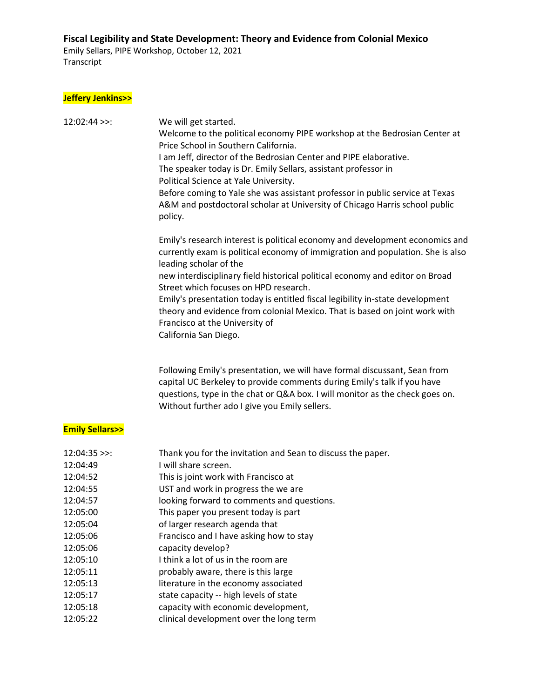Emily Sellars, PIPE Workshop, October 12, 2021 Transcript

#### **Jeffery Jenkins>>**

| $12:02:44$ >>: | We will get started.<br>Welcome to the political economy PIPE workshop at the Bedrosian Center at<br>Price School in Southern California.<br>I am Jeff, director of the Bedrosian Center and PIPE elaborative.<br>The speaker today is Dr. Emily Sellars, assistant professor in<br>Political Science at Yale University.<br>Before coming to Yale she was assistant professor in public service at Texas<br>A&M and postdoctoral scholar at University of Chicago Harris school public<br>policy.                                          |
|----------------|---------------------------------------------------------------------------------------------------------------------------------------------------------------------------------------------------------------------------------------------------------------------------------------------------------------------------------------------------------------------------------------------------------------------------------------------------------------------------------------------------------------------------------------------|
|                | Emily's research interest is political economy and development economics and<br>currently exam is political economy of immigration and population. She is also<br>leading scholar of the<br>new interdisciplinary field historical political economy and editor on Broad<br>Street which focuses on HPD research.<br>Emily's presentation today is entitled fiscal legibility in-state development<br>theory and evidence from colonial Mexico. That is based on joint work with<br>Francisco at the University of<br>California San Diego. |
|                |                                                                                                                                                                                                                                                                                                                                                                                                                                                                                                                                             |

Following Emily's presentation, we will have formal discussant, Sean from capital UC Berkeley to provide comments during Emily's talk if you have questions, type in the chat or Q&A box. I will monitor as the check goes on. Without further ado I give you Emily sellers.

### **Emily Sellars>>**

| $12:04:35$ >>: | Thank you for the invitation and Sean to discuss the paper. |
|----------------|-------------------------------------------------------------|
| 12:04:49       | I will share screen.                                        |
| 12:04:52       | This is joint work with Francisco at                        |
| 12:04:55       | UST and work in progress the we are                         |
| 12:04:57       | looking forward to comments and questions.                  |
| 12:05:00       | This paper you present today is part                        |
| 12:05:04       | of larger research agenda that                              |
| 12:05:06       | Francisco and I have asking how to stay                     |
| 12:05:06       | capacity develop?                                           |
| 12:05:10       | I think a lot of us in the room are                         |
| 12:05:11       | probably aware, there is this large                         |
| 12:05:13       | literature in the economy associated                        |
| 12:05:17       | state capacity -- high levels of state                      |
| 12:05:18       | capacity with economic development,                         |
| 12:05:22       | clinical development over the long term                     |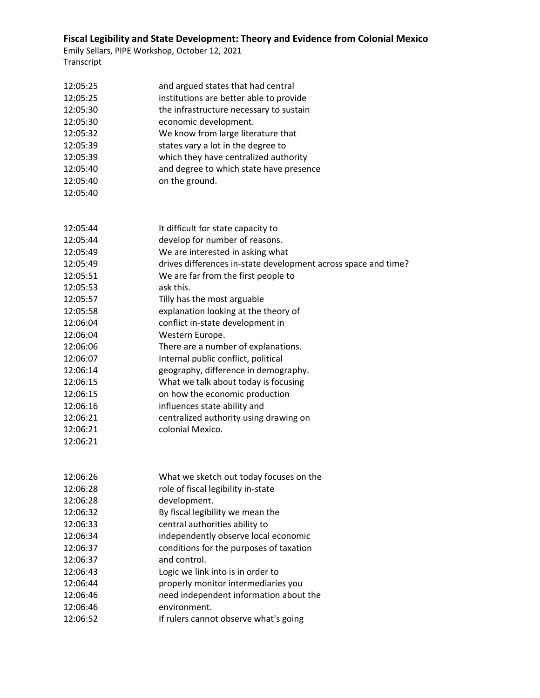| 12:05:25 | and argued states that had central                             |
|----------|----------------------------------------------------------------|
| 12:05:25 | institutions are better able to provide                        |
| 12:05:30 | the infrastructure necessary to sustain                        |
| 12:05:30 | economic development.                                          |
| 12:05:32 | We know from large literature that                             |
| 12:05:39 | states vary a lot in the degree to                             |
| 12:05:39 | which they have centralized authority                          |
| 12:05:40 | and degree to which state have presence                        |
| 12:05:40 | on the ground.                                                 |
| 12:05:40 |                                                                |
|          |                                                                |
| 12:05:44 | It difficult for state capacity to                             |
| 12:05:44 | develop for number of reasons.                                 |
| 12:05:49 | We are interested in asking what                               |
| 12:05:49 | drives differences in-state development across space and time? |
| 12:05:51 | We are far from the first people to                            |
| 12:05:53 | ask this.                                                      |
| 12:05:57 | Tilly has the most arguable                                    |
| 12:05:58 | explanation looking at the theory of                           |
| 12:06:04 | conflict in-state development in                               |
| 12:06:04 | Western Europe.                                                |
| 12:06:06 | There are a number of explanations.                            |
| 12:06:07 | Internal public conflict, political                            |
| 12:06:14 | geography, difference in demography.                           |
| 12:06:15 | What we talk about today is focusing                           |
| 12:06:15 | on how the economic production                                 |
| 12:06:16 | influences state ability and                                   |
| 12:06:21 | centralized authority using drawing on                         |
| 12:06:21 | colonial Mexico.                                               |
| 12:06:21 |                                                                |
|          |                                                                |
| 12:06:26 | What we sketch out today focuses on the                        |
| 12:06:28 | role of fiscal legibility in-state                             |
| 12:06:28 | development.                                                   |
| 12:06:32 | By fiscal legibility we mean the                               |
| 12:06:33 | central authorities ability to                                 |
| 12:06:34 | independently observe local economic                           |
| 12:06:37 | conditions for the purposes of taxation                        |
| 12:06:37 | and control.                                                   |
| 12:06:43 | Logic we link into is in order to                              |
| 12:06:44 | properly monitor intermediaries you                            |
| 12:06:46 | need independent information about the                         |
| 12:06:46 | environment.                                                   |
| 12:06:52 | If rulers cannot observe what's going                          |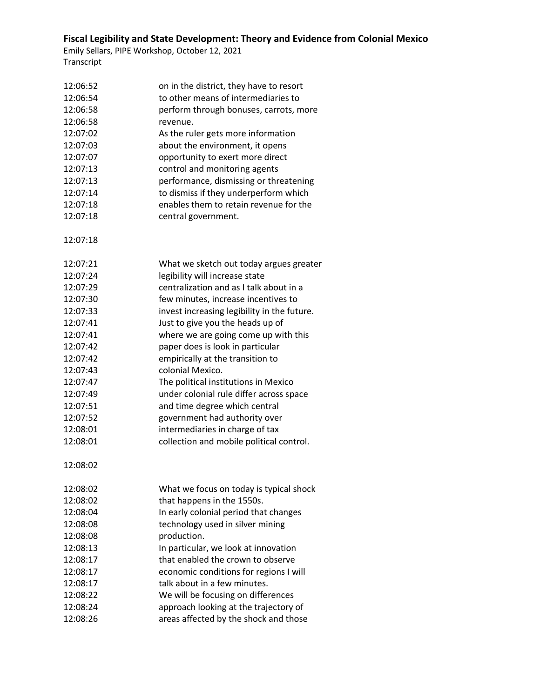| 12:06:52 | on in the district, they have to resort     |
|----------|---------------------------------------------|
| 12:06:54 | to other means of intermediaries to         |
| 12:06:58 | perform through bonuses, carrots, more      |
| 12:06:58 | revenue.                                    |
| 12:07:02 | As the ruler gets more information          |
| 12:07:03 | about the environment, it opens             |
| 12:07:07 | opportunity to exert more direct            |
| 12:07:13 | control and monitoring agents               |
| 12:07:13 | performance, dismissing or threatening      |
| 12:07:14 | to dismiss if they underperform which       |
| 12:07:18 | enables them to retain revenue for the      |
| 12:07:18 | central government.                         |
|          |                                             |
| 12:07:18 |                                             |
| 12:07:21 | What we sketch out today argues greater     |
| 12:07:24 | legibility will increase state              |
| 12:07:29 | centralization and as I talk about in a     |
| 12:07:30 | few minutes, increase incentives to         |
| 12:07:33 | invest increasing legibility in the future. |
| 12:07:41 | Just to give you the heads up of            |
| 12:07:41 | where we are going come up with this        |
| 12:07:42 | paper does is look in particular            |
| 12:07:42 | empirically at the transition to            |
| 12:07:43 | colonial Mexico.                            |
| 12:07:47 | The political institutions in Mexico        |
| 12:07:49 | under colonial rule differ across space     |
| 12:07:51 | and time degree which central               |
| 12:07:52 | government had authority over               |
| 12:08:01 | intermediaries in charge of tax             |
| 12:08:01 | collection and mobile political control.    |
| 12:08:02 |                                             |
| 12:08:02 | What we focus on today is typical shock     |
| 12:08:02 | that happens in the 1550s.                  |
| 12:08:04 | In early colonial period that changes       |
| 12:08:08 | technology used in silver mining            |
| 12:08:08 | production.                                 |
| 12:08:13 | In particular, we look at innovation        |
| 12:08:17 | that enabled the crown to observe           |
| 12:08:17 | economic conditions for regions I will      |
| 12:08:17 | talk about in a few minutes.                |
| 12:08:22 | We will be focusing on differences          |
| 12:08:24 | approach looking at the trajectory of       |
| 12:08:26 | areas affected by the shock and those       |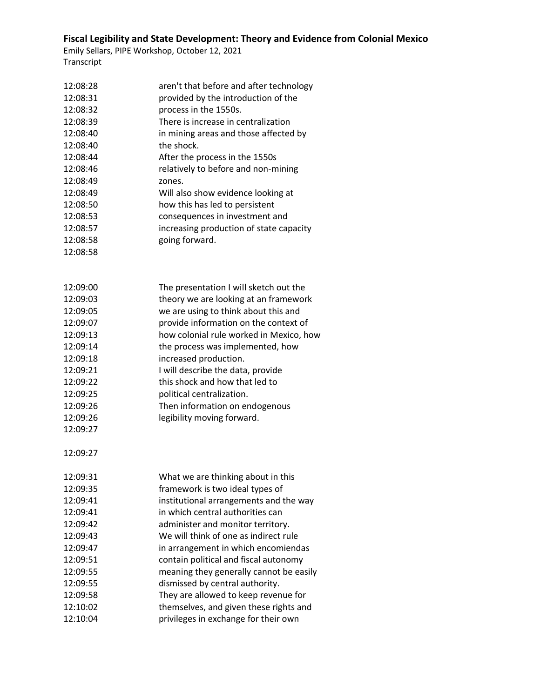| 12:08:28<br>12:08:31<br>12:08:32<br>12:08:39<br>12:08:40<br>12:08:40<br>12:08:44<br>12:08:46<br>12:08:49<br>12:08:49<br>12:08:50<br>12:08:53<br>12:08:57<br>12:08:58<br>12:08:58 | aren't that before and after technology<br>provided by the introduction of the<br>process in the 1550s.<br>There is increase in centralization<br>in mining areas and those affected by<br>the shock.<br>After the process in the 1550s<br>relatively to before and non-mining<br>zones.<br>Will also show evidence looking at<br>how this has led to persistent<br>consequences in investment and<br>increasing production of state capacity<br>going forward.                                                           |
|----------------------------------------------------------------------------------------------------------------------------------------------------------------------------------|---------------------------------------------------------------------------------------------------------------------------------------------------------------------------------------------------------------------------------------------------------------------------------------------------------------------------------------------------------------------------------------------------------------------------------------------------------------------------------------------------------------------------|
| 12:09:00<br>12:09:03<br>12:09:05<br>12:09:07<br>12:09:13<br>12:09:14<br>12:09:18<br>12:09:21<br>12:09:22<br>12:09:25<br>12:09:26<br>12:09:26<br>12:09:27<br>12:09:27             | The presentation I will sketch out the<br>theory we are looking at an framework<br>we are using to think about this and<br>provide information on the context of<br>how colonial rule worked in Mexico, how<br>the process was implemented, how<br>increased production.<br>I will describe the data, provide<br>this shock and how that led to<br>political centralization.<br>Then information on endogenous<br>legibility moving forward.                                                                              |
| 12:09:31<br>12:09:35<br>12:09:41<br>12:09:41<br>12:09:42<br>12:09:43<br>12:09:47<br>12:09:51<br>12:09:55<br>12:09:55<br>12:09:58<br>12:10:02<br>12:10:04                         | What we are thinking about in this<br>framework is two ideal types of<br>institutional arrangements and the way<br>in which central authorities can<br>administer and monitor territory.<br>We will think of one as indirect rule<br>in arrangement in which encomiendas<br>contain political and fiscal autonomy<br>meaning they generally cannot be easily<br>dismissed by central authority.<br>They are allowed to keep revenue for<br>themselves, and given these rights and<br>privileges in exchange for their own |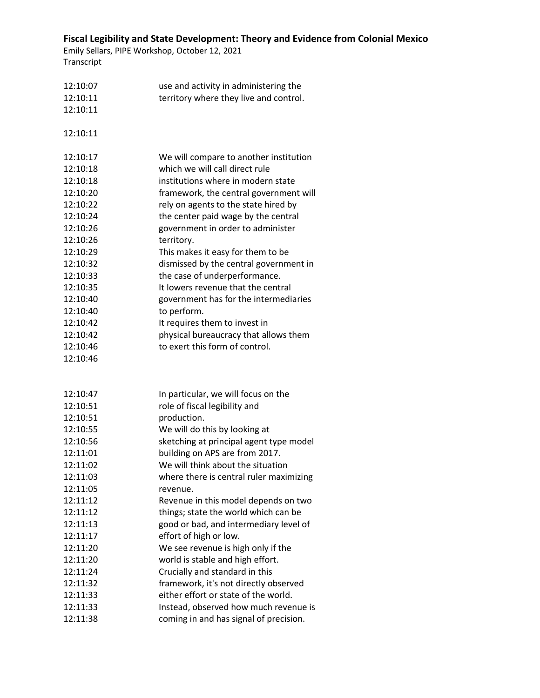| 12:10:07 | use and activity in administering the   |
|----------|-----------------------------------------|
| 12:10:11 | territory where they live and control.  |
| 12:10:11 |                                         |
|          |                                         |
| 12:10:11 |                                         |
|          |                                         |
| 12:10:17 | We will compare to another institution  |
| 12:10:18 | which we will call direct rule          |
| 12:10:18 | institutions where in modern state      |
| 12:10:20 | framework, the central government will  |
| 12:10:22 | rely on agents to the state hired by    |
| 12:10:24 | the center paid wage by the central     |
| 12:10:26 | government in order to administer       |
| 12:10:26 | territory.                              |
| 12:10:29 | This makes it easy for them to be       |
| 12:10:32 | dismissed by the central government in  |
| 12:10:33 | the case of underperformance.           |
| 12:10:35 | It lowers revenue that the central      |
| 12:10:40 | government has for the intermediaries   |
| 12:10:40 | to perform.                             |
| 12:10:42 | It requires them to invest in           |
| 12:10:42 | physical bureaucracy that allows them   |
| 12:10:46 | to exert this form of control.          |
| 12:10:46 |                                         |
|          |                                         |
|          |                                         |
| 12:10:47 | In particular, we will focus on the     |
| 12:10:51 | role of fiscal legibility and           |
| 12:10:51 | production.                             |
| 12:10:55 | We will do this by looking at           |
| 12:10:56 | sketching at principal agent type model |
| 12:11:01 | building on APS are from 2017.          |
| 12:11:02 | We will think about the situation       |
| 12:11:03 | where there is central ruler maximizing |
| 12:11:05 | revenue.                                |
| 12:11:12 | Revenue in this model depends on two    |
| 12:11:12 | things; state the world which can be    |
| 12:11:13 | good or bad, and intermediary level of  |
| 12:11:17 | effort of high or low.                  |
| 12:11:20 | We see revenue is high only if the      |
| 12:11:20 | world is stable and high effort.        |
| 12:11:24 | Crucially and standard in this          |
| 12:11:32 | framework, it's not directly observed   |
| 12:11:33 | either effort or state of the world.    |
| 12:11:33 | Instead, observed how much revenue is   |
| 12:11:38 | coming in and has signal of precision.  |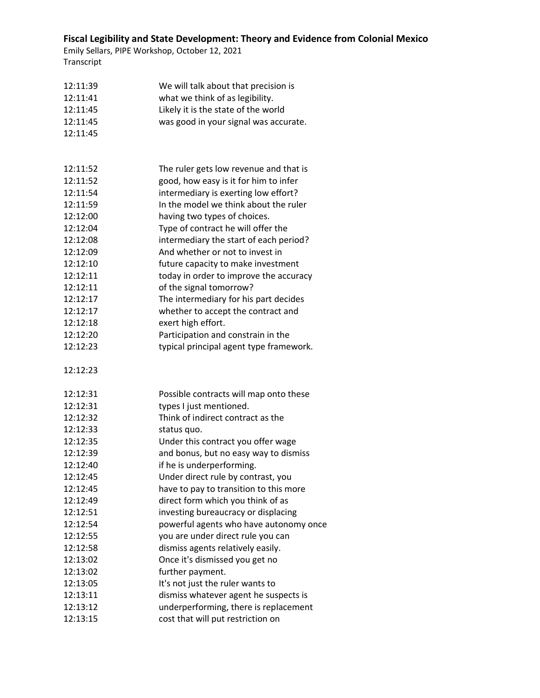| 12:11:39             | We will talk about that precision is                                        |
|----------------------|-----------------------------------------------------------------------------|
| 12:11:41             | what we think of as legibility.                                             |
| 12:11:45             | Likely it is the state of the world                                         |
| 12:11:45             | was good in your signal was accurate.                                       |
| 12:11:45             |                                                                             |
|                      |                                                                             |
|                      |                                                                             |
| 12:11:52             | The ruler gets low revenue and that is                                      |
| 12:11:52             | good, how easy is it for him to infer                                       |
| 12:11:54             | intermediary is exerting low effort?                                        |
| 12:11:59             | In the model we think about the ruler                                       |
| 12:12:00             | having two types of choices.                                                |
| 12:12:04             | Type of contract he will offer the                                          |
| 12:12:08             | intermediary the start of each period?                                      |
| 12:12:09             | And whether or not to invest in                                             |
| 12:12:10             | future capacity to make investment                                          |
| 12:12:11             | today in order to improve the accuracy                                      |
| 12:12:11             | of the signal tomorrow?                                                     |
| 12:12:17             | The intermediary for his part decides                                       |
| 12:12:17             | whether to accept the contract and                                          |
| 12:12:18             | exert high effort.                                                          |
| 12:12:20             | Participation and constrain in the                                          |
| 12:12:23             | typical principal agent type framework.                                     |
| 12:12:23             |                                                                             |
|                      |                                                                             |
| 12:12:31             | Possible contracts will map onto these                                      |
| 12:12:31             | types I just mentioned.                                                     |
| 12:12:32             | Think of indirect contract as the                                           |
| 12:12:33             | status quo.                                                                 |
| 12:12:35<br>12:12:39 | Under this contract you offer wage                                          |
| 12:12:40             | and bonus, but no easy way to dismiss                                       |
| 12:12:45             | if he is underperforming.                                                   |
| 12:12:45             | Under direct rule by contrast, you                                          |
|                      | have to pay to transition to this more<br>direct form which you think of as |
| 12:12:49<br>12:12:51 |                                                                             |
| 12:12:54             | investing bureaucracy or displacing                                         |
| 12:12:55             | powerful agents who have autonomy once                                      |
| 12:12:58             | you are under direct rule you can                                           |
|                      | dismiss agents relatively easily.<br>Once it's dismissed you get no         |
| 12:13:02<br>12:13:02 |                                                                             |
|                      | further payment.                                                            |
| 12:13:05             | It's not just the ruler wants to                                            |
| 12:13:11             | dismiss whatever agent he suspects is                                       |
| 12:13:12             | underperforming, there is replacement                                       |
| 12:13:15             | cost that will put restriction on                                           |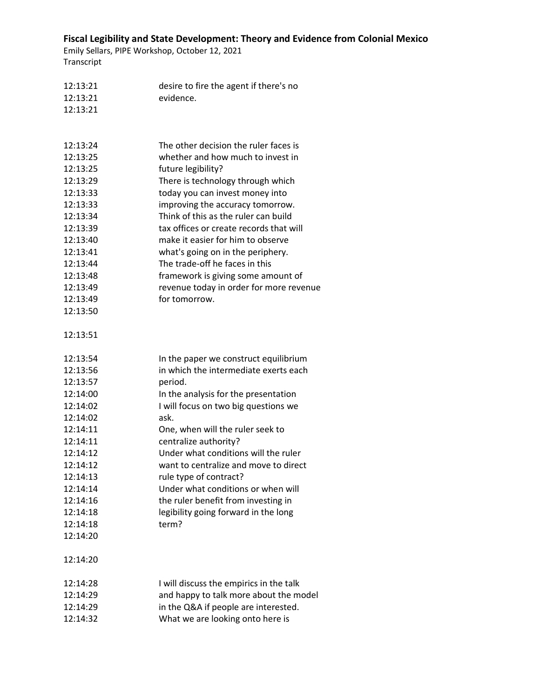| 12:13:21 | desire to fire the agent if there's no  |
|----------|-----------------------------------------|
| 12:13:21 | evidence.                               |
| 12:13:21 |                                         |
|          |                                         |
| 12:13:24 | The other decision the ruler faces is   |
| 12:13:25 | whether and how much to invest in       |
| 12:13:25 | future legibility?                      |
| 12:13:29 | There is technology through which       |
| 12:13:33 | today you can invest money into         |
| 12:13:33 | improving the accuracy tomorrow.        |
| 12:13:34 | Think of this as the ruler can build    |
| 12:13:39 | tax offices or create records that will |
| 12:13:40 | make it easier for him to observe       |
| 12:13:41 | what's going on in the periphery.       |
| 12:13:44 | The trade-off he faces in this          |
| 12:13:48 | framework is giving some amount of      |
| 12:13:49 | revenue today in order for more revenue |
| 12:13:49 | for tomorrow.                           |
| 12:13:50 |                                         |
| 12:13:51 |                                         |
| 12:13:54 | In the paper we construct equilibrium   |
| 12:13:56 | in which the intermediate exerts each   |
| 12:13:57 | period.                                 |
| 12:14:00 | In the analysis for the presentation    |
| 12:14:02 | I will focus on two big questions we    |
| 12:14:02 | ask.                                    |
| 12:14:11 | One, when will the ruler seek to        |
| 12:14:11 | centralize authority?                   |
| 12:14:12 | Under what conditions will the ruler    |
| 12:14:12 | want to centralize and move to direct   |
| 12:14:13 | rule type of contract?                  |
| 12:14:14 | Under what conditions or when will      |
| 12:14:16 | the ruler benefit from investing in     |
| 12:14:18 | legibility going forward in the long    |
| 12:14:18 | term?                                   |
| 12:14:20 |                                         |
| 12:14:20 |                                         |
| 12:14:28 | I will discuss the empirics in the talk |
| 12:14:29 | and happy to talk more about the model  |
| 12:14:29 | in the Q&A if people are interested.    |
| 12:14:32 | What we are looking onto here is        |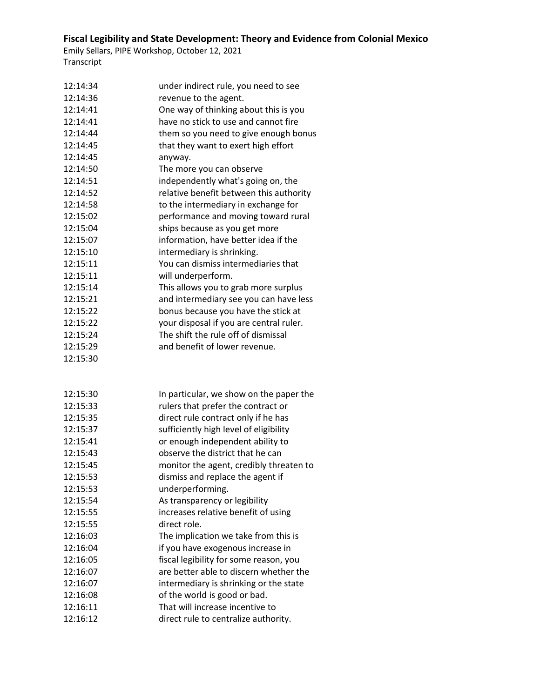| 12:14:34 | under indirect rule, you need to see    |
|----------|-----------------------------------------|
| 12:14:36 | revenue to the agent.                   |
| 12:14:41 | One way of thinking about this is you   |
| 12:14:41 | have no stick to use and cannot fire    |
| 12:14:44 | them so you need to give enough bonus   |
| 12:14:45 | that they want to exert high effort     |
| 12:14:45 | anyway.                                 |
| 12:14:50 | The more you can observe                |
| 12:14:51 | independently what's going on, the      |
| 12:14:52 | relative benefit between this authority |
| 12:14:58 | to the intermediary in exchange for     |
| 12:15:02 | performance and moving toward rural     |
| 12:15:04 | ships because as you get more           |
| 12:15:07 | information, have better idea if the    |
| 12:15:10 | intermediary is shrinking.              |
| 12:15:11 | You can dismiss intermediaries that     |
| 12:15:11 | will underperform.                      |
| 12:15:14 | This allows you to grab more surplus    |
| 12:15:21 | and intermediary see you can have less  |
| 12:15:22 | bonus because you have the stick at     |
| 12:15:22 | your disposal if you are central ruler. |
| 12:15:24 | The shift the rule off of dismissal     |
| 12:15:29 | and benefit of lower revenue.           |
| 12:15:30 |                                         |
|          |                                         |
|          |                                         |
| 12:15:30 | In particular, we show on the paper the |
| 12:15:33 | rulers that prefer the contract or      |
| 12:15:35 | direct rule contract only if he has     |
| 12:15:37 | sufficiently high level of eligibility  |
| 12:15:41 | or enough independent ability to        |
| 12:15:43 | observe the district that he can        |
| 12:15:45 | monitor the agent, credibly threaten to |
| 12:15:53 | dismiss and replace the agent if        |
| 12:15:53 | underperforming.                        |
| 12:15:54 | As transparency or legibility           |
| 12:15:55 | increases relative benefit of using     |
| 12:15:55 | direct role.                            |
| 12:16:03 | The implication we take from this is    |
| 12:16:04 | if you have exogenous increase in       |
| 12:16:05 | fiscal legibility for some reason, you  |
| 12:16:07 | are better able to discern whether the  |
| 12:16:07 | intermediary is shrinking or the state  |
| 12:16:08 | of the world is good or bad.            |
| 12:16:11 | That will increase incentive to         |
| 12:16:12 | direct rule to centralize authority.    |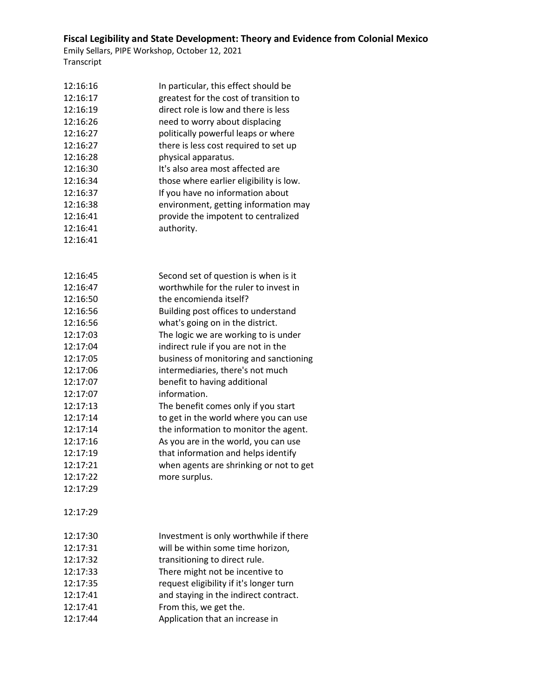| 12:16:16 | In particular, this effect should be    |
|----------|-----------------------------------------|
| 12:16:17 | greatest for the cost of transition to  |
| 12:16:19 | direct role is low and there is less    |
| 12:16:26 | need to worry about displacing          |
| 12:16:27 | politically powerful leaps or where     |
| 12:16:27 | there is less cost required to set up   |
| 12:16:28 | physical apparatus.                     |
| 12:16:30 | It's also area most affected are        |
| 12:16:34 | those where earlier eligibility is low. |
| 12:16:37 | If you have no information about        |
| 12:16:38 | environment, getting information may    |
| 12:16:41 | provide the impotent to centralized     |
| 12:16:41 | authority.                              |
| 12:16:41 |                                         |
|          |                                         |
| 12:16:45 | Second set of question is when is it    |
| 12:16:47 | worthwhile for the ruler to invest in   |
| 12:16:50 | the encomienda itself?                  |
| 12:16:56 | Building post offices to understand     |
| 12:16:56 | what's going on in the district.        |
| 12:17:03 | The logic we are working to is under    |
| 12:17:04 | indirect rule if you are not in the     |
| 12:17:05 | business of monitoring and sanctioning  |
| 12:17:06 | intermediaries, there's not much        |
| 12:17:07 | benefit to having additional            |
| 12:17:07 | information.                            |
| 12:17:13 | The benefit comes only if you start     |
| 12:17:14 | to get in the world where you can use   |
| 12:17:14 | the information to monitor the agent.   |
| 12:17:16 | As you are in the world, you can use    |
| 12:17:19 | that information and helps identify     |
| 12:17:21 | when agents are shrinking or not to get |
| 12:17:22 | more surplus.                           |
| 12:17:29 |                                         |
| 12:17:29 |                                         |
| 12:17:30 | Investment is only worthwhile if there  |
| 12:17:31 | will be within some time horizon,       |
| 12:17:32 | transitioning to direct rule.           |
| 12:17:33 | There might not be incentive to         |
| 12:17:35 | request eligibility if it's longer turn |
| 12:17:41 | and staying in the indirect contract.   |
| 12:17:41 | From this, we get the.                  |
| 12:17:44 | Application that an increase in         |
|          |                                         |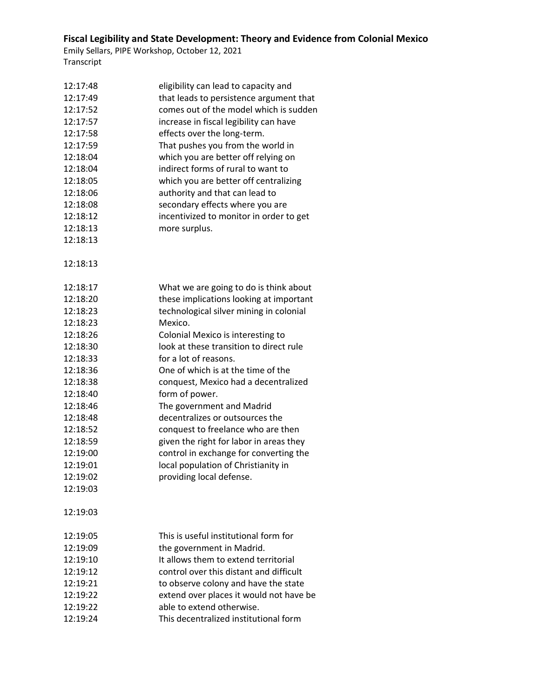| 12:17:48 | eligibility can lead to capacity and    |
|----------|-----------------------------------------|
| 12:17:49 | that leads to persistence argument that |
| 12:17:52 | comes out of the model which is sudden  |
| 12:17:57 | increase in fiscal legibility can have  |
| 12:17:58 | effects over the long-term.             |
| 12:17:59 | That pushes you from the world in       |
| 12:18:04 | which you are better off relying on     |
| 12:18:04 | indirect forms of rural to want to      |
| 12:18:05 | which you are better off centralizing   |
| 12:18:06 | authority and that can lead to          |
| 12:18:08 | secondary effects where you are         |
| 12:18:12 | incentivized to monitor in order to get |
| 12:18:13 | more surplus.                           |
| 12:18:13 |                                         |
| 12:18:13 |                                         |
| 12:18:17 | What we are going to do is think about  |
| 12:18:20 | these implications looking at important |
| 12:18:23 | technological silver mining in colonial |
| 12:18:23 | Mexico.                                 |
| 12:18:26 | Colonial Mexico is interesting to       |
| 12:18:30 | look at these transition to direct rule |
| 12:18:33 | for a lot of reasons.                   |
| 12:18:36 | One of which is at the time of the      |
| 12:18:38 | conquest, Mexico had a decentralized    |
| 12:18:40 | form of power.                          |
| 12:18:46 | The government and Madrid               |
| 12:18:48 | decentralizes or outsources the         |
| 12:18:52 | conquest to freelance who are then      |
| 12:18:59 | given the right for labor in areas they |
| 12:19:00 | control in exchange for converting the  |
| 12:19:01 | local population of Christianity in     |
| 12:19:02 | providing local defense.                |
| 12:19:03 |                                         |
| 12:19:03 |                                         |
| 12:19:05 | This is useful institutional form for   |
| 12:19:09 | the government in Madrid.               |
| 12:19:10 | It allows them to extend territorial    |
| 12:19:12 | control over this distant and difficult |
| 12:19:21 | to observe colony and have the state    |
| 12:19:22 | extend over places it would not have be |
| 12:19:22 | able to extend otherwise.               |
| 12:19:24 | This decentralized institutional form   |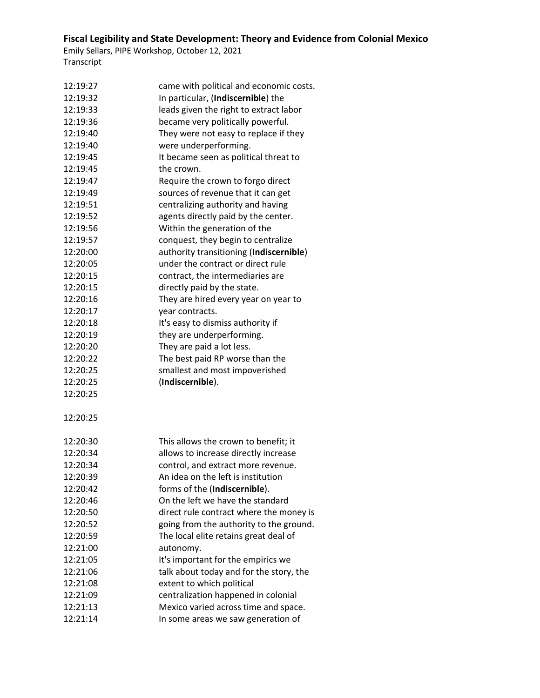| 12:19:27             | came with political and economic costs. |
|----------------------|-----------------------------------------|
| 12:19:32             | In particular, (Indiscernible) the      |
| 12:19:33             | leads given the right to extract labor  |
| 12:19:36             | became very politically powerful.       |
| 12:19:40             | They were not easy to replace if they   |
| 12:19:40             | were underperforming.                   |
| 12:19:45             | It became seen as political threat to   |
| 12:19:45             | the crown.                              |
| 12:19:47             | Require the crown to forgo direct       |
| 12:19:49             | sources of revenue that it can get      |
| 12:19:51             | centralizing authority and having       |
| 12:19:52             | agents directly paid by the center.     |
| 12:19:56             | Within the generation of the            |
| 12:19:57             | conquest, they begin to centralize      |
| 12:20:00             | authority transitioning (Indiscernible) |
| 12:20:05             | under the contract or direct rule       |
| 12:20:15             | contract, the intermediaries are        |
| 12:20:15             | directly paid by the state.             |
| 12:20:16             | They are hired every year on year to    |
| 12:20:17             | year contracts.                         |
| 12:20:18             | It's easy to dismiss authority if       |
| 12:20:19             | they are underperforming.               |
| 12:20:20             | They are paid a lot less.               |
| 12:20:22             | The best paid RP worse than the         |
| 12:20:25             | smallest and most impoverished          |
| 12:20:25             | (Indiscernible).                        |
| 12:20:25             |                                         |
| 12:20:25             |                                         |
| 12:20:30             | This allows the crown to benefit; it    |
| 12:20:34             | allows to increase directly increase    |
| 12:20:34             | control, and extract more revenue.      |
| 12:20:39             | An idea on the left is institution      |
| 12:20:42             | forms of the (Indiscernible).           |
| 12:20:46             | On the left we have the standard        |
| 12:20:50             |                                         |
|                      | direct rule contract where the money is |
| 12:20:52             | going from the authority to the ground. |
| 12:20:59             | The local elite retains great deal of   |
| 12:21:00             | autonomy.                               |
| 12:21:05             | It's important for the empirics we      |
| 12:21:06             | talk about today and for the story, the |
| 12:21:08             | extent to which political               |
| 12:21:09             | centralization happened in colonial     |
| 12:21:13<br>12:21:14 | Mexico varied across time and space.    |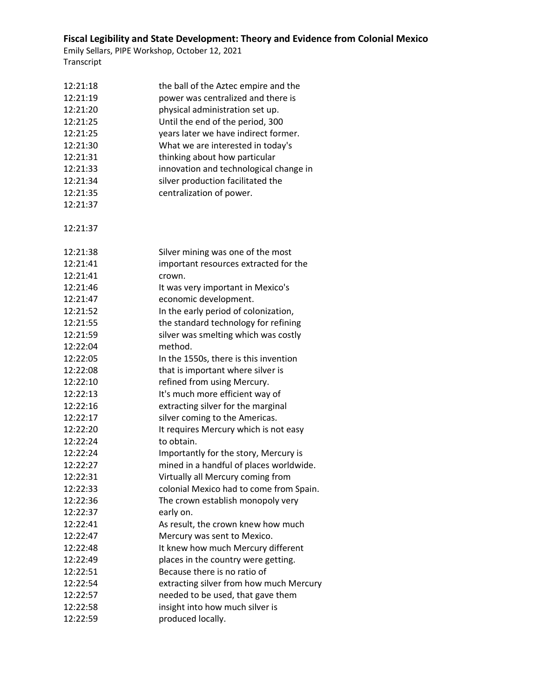| 12:21:18 | the ball of the Aztec empire and the    |
|----------|-----------------------------------------|
| 12:21:19 | power was centralized and there is      |
| 12:21:20 | physical administration set up.         |
| 12:21:25 | Until the end of the period, 300        |
| 12:21:25 | years later we have indirect former.    |
| 12:21:30 | What we are interested in today's       |
| 12:21:31 | thinking about how particular           |
| 12:21:33 | innovation and technological change in  |
| 12:21:34 | silver production facilitated the       |
| 12:21:35 | centralization of power.                |
| 12:21:37 |                                         |
|          |                                         |
| 12:21:37 |                                         |
| 12:21:38 | Silver mining was one of the most       |
| 12:21:41 | important resources extracted for the   |
| 12:21:41 | crown.                                  |
| 12:21:46 | It was very important in Mexico's       |
| 12:21:47 | economic development.                   |
| 12:21:52 | In the early period of colonization,    |
| 12:21:55 | the standard technology for refining    |
| 12:21:59 | silver was smelting which was costly    |
| 12:22:04 | method.                                 |
| 12:22:05 | In the 1550s, there is this invention   |
| 12:22:08 | that is important where silver is       |
| 12:22:10 | refined from using Mercury.             |
| 12:22:13 | It's much more efficient way of         |
| 12:22:16 | extracting silver for the marginal      |
| 12:22:17 | silver coming to the Americas.          |
| 12:22:20 | It requires Mercury which is not easy   |
| 12:22:24 | to obtain.                              |
| 12:22:24 | Importantly for the story, Mercury is   |
| 12:22:27 | mined in a handful of places worldwide. |
| 12:22:31 | Virtually all Mercury coming from       |
| 12:22:33 | colonial Mexico had to come from Spain. |
| 12:22:36 | The crown establish monopoly very       |
| 12:22:37 | early on.                               |
| 12:22:41 | As result, the crown knew how much      |
| 12:22:47 | Mercury was sent to Mexico.             |
| 12:22:48 | It knew how much Mercury different      |
| 12:22:49 | places in the country were getting.     |
| 12:22:51 | Because there is no ratio of            |
| 12:22:54 | extracting silver from how much Mercury |
| 12:22:57 | needed to be used, that gave them       |
| 12:22:58 | insight into how much silver is         |
| 12:22:59 | produced locally.                       |
|          |                                         |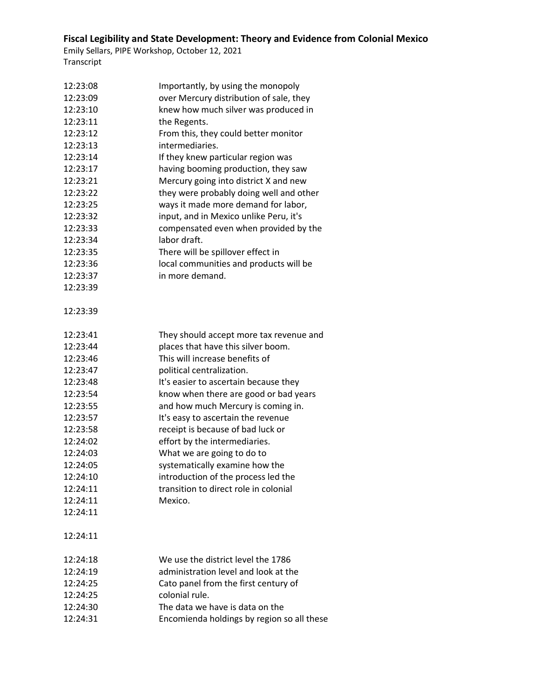| 12:23:08 | Importantly, by using the monopoly         |  |
|----------|--------------------------------------------|--|
| 12:23:09 | over Mercury distribution of sale, they    |  |
| 12:23:10 | knew how much silver was produced in       |  |
| 12:23:11 | the Regents.                               |  |
| 12:23:12 | From this, they could better monitor       |  |
| 12:23:13 | intermediaries.                            |  |
| 12:23:14 | If they knew particular region was         |  |
| 12:23:17 | having booming production, they saw        |  |
| 12:23:21 | Mercury going into district X and new      |  |
| 12:23:22 | they were probably doing well and other    |  |
| 12:23:25 | ways it made more demand for labor,        |  |
| 12:23:32 | input, and in Mexico unlike Peru, it's     |  |
| 12:23:33 | compensated even when provided by the      |  |
| 12:23:34 | labor draft.                               |  |
| 12:23:35 | There will be spillover effect in          |  |
| 12:23:36 | local communities and products will be     |  |
| 12:23:37 | in more demand.                            |  |
| 12:23:39 |                                            |  |
|          |                                            |  |
| 12:23:39 |                                            |  |
|          |                                            |  |
| 12:23:41 | They should accept more tax revenue and    |  |
| 12:23:44 | places that have this silver boom.         |  |
| 12:23:46 | This will increase benefits of             |  |
| 12:23:47 | political centralization.                  |  |
| 12:23:48 | It's easier to ascertain because they      |  |
| 12:23:54 | know when there are good or bad years      |  |
| 12:23:55 | and how much Mercury is coming in.         |  |
| 12:23:57 | It's easy to ascertain the revenue         |  |
| 12:23:58 | receipt is because of bad luck or          |  |
| 12:24:02 | effort by the intermediaries.              |  |
| 12:24:03 | What we are going to do to                 |  |
| 12:24:05 | systematically examine how the             |  |
| 12:24:10 | introduction of the process led the        |  |
| 12:24:11 | transition to direct role in colonial      |  |
| 12:24:11 | Mexico.                                    |  |
| 12:24:11 |                                            |  |
|          |                                            |  |
| 12:24:11 |                                            |  |
|          |                                            |  |
| 12:24:18 | We use the district level the 1786         |  |
| 12:24:19 | administration level and look at the       |  |
| 12:24:25 | Cato panel from the first century of       |  |
| 12:24:25 | colonial rule.                             |  |
| 12:24:30 | The data we have is data on the            |  |
| 12:24:31 | Encomienda holdings by region so all these |  |
|          |                                            |  |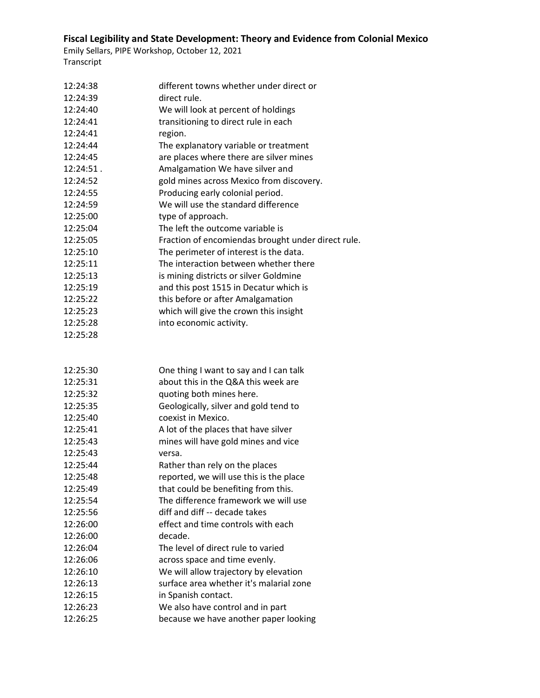| 12:24:38  | different towns whether under direct or            |
|-----------|----------------------------------------------------|
| 12:24:39  | direct rule.                                       |
| 12:24:40  | We will look at percent of holdings                |
| 12:24:41  | transitioning to direct rule in each               |
| 12:24:41  | region.                                            |
| 12:24:44  | The explanatory variable or treatment              |
| 12:24:45  | are places where there are silver mines            |
| 12:24:51. | Amalgamation We have silver and                    |
| 12:24:52  | gold mines across Mexico from discovery.           |
| 12:24:55  | Producing early colonial period.                   |
| 12:24:59  | We will use the standard difference                |
| 12:25:00  | type of approach.                                  |
| 12:25:04  | The left the outcome variable is                   |
| 12:25:05  | Fraction of encomiendas brought under direct rule. |
| 12:25:10  | The perimeter of interest is the data.             |
| 12:25:11  | The interaction between whether there              |
| 12:25:13  | is mining districts or silver Goldmine             |
| 12:25:19  | and this post 1515 in Decatur which is             |
| 12:25:22  | this before or after Amalgamation                  |
| 12:25:23  | which will give the crown this insight             |
| 12:25:28  | into economic activity.                            |
| 12:25:28  |                                                    |
|           |                                                    |
| 12:25:30  | One thing I want to say and I can talk             |
| 12:25:31  | about this in the Q&A this week are                |
| 12:25:32  | quoting both mines here.                           |
| 12:25:35  | Geologically, silver and gold tend to              |
| 12:25:40  | coexist in Mexico.                                 |
| 12:25:41  | A lot of the places that have silver               |
| 12:25:43  | mines will have gold mines and vice                |
| 12:25:43  | versa.                                             |
| 12:25:44  | Rather than rely on the places                     |
| 12:25:48  | reported, we will use this is the place            |
| 12:25:49  | that could be benefiting from this.                |
| 12:25:54  | The difference framework we will use               |
| 12:25:56  | diff and diff -- decade takes                      |
| 12:26:00  | effect and time controls with each                 |
| 12:26:00  | decade.                                            |
| 12:26:04  | The level of direct rule to varied                 |
| 12:26:06  | across space and time evenly.                      |
| 12:26:10  | We will allow trajectory by elevation              |
|           |                                                    |
| 12:26:13  | surface area whether it's malarial zone            |
| 12:26:15  | in Spanish contact.                                |
| 12:26:23  | We also have control and in part                   |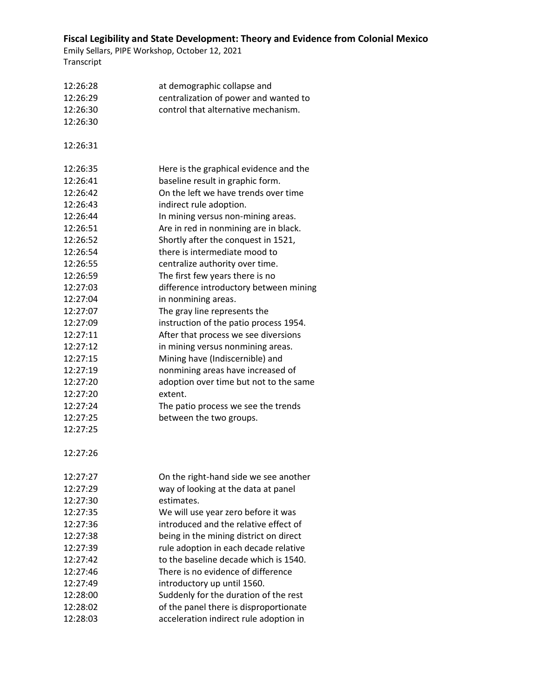| 12:26:28 | at demographic collapse and            |
|----------|----------------------------------------|
| 12:26:29 | centralization of power and wanted to  |
| 12:26:30 | control that alternative mechanism.    |
| 12:26:30 |                                        |
|          |                                        |
| 12:26:31 |                                        |
| 12:26:35 | Here is the graphical evidence and the |
| 12:26:41 | baseline result in graphic form.       |
| 12:26:42 | On the left we have trends over time   |
| 12:26:43 | indirect rule adoption.                |
| 12:26:44 | In mining versus non-mining areas.     |
| 12:26:51 | Are in red in nonmining are in black.  |
| 12:26:52 | Shortly after the conquest in 1521,    |
| 12:26:54 | there is intermediate mood to          |
| 12:26:55 | centralize authority over time.        |
| 12:26:59 | The first few years there is no        |
| 12:27:03 | difference introductory between mining |
| 12:27:04 | in nonmining areas.                    |
| 12:27:07 | The gray line represents the           |
| 12:27:09 | instruction of the patio process 1954. |
| 12:27:11 | After that process we see diversions   |
| 12:27:12 | in mining versus nonmining areas.      |
| 12:27:15 | Mining have (Indiscernible) and        |
| 12:27:19 | nonmining areas have increased of      |
| 12:27:20 | adoption over time but not to the same |
| 12:27:20 | extent.                                |
| 12:27:24 | The patio process we see the trends    |
| 12:27:25 | between the two groups.                |
| 12:27:25 |                                        |
| 12:27:26 |                                        |
| 12:27:27 | On the right-hand side we see another  |
| 12:27:29 | way of looking at the data at panel    |
| 12:27:30 | estimates.                             |
| 12:27:35 | We will use year zero before it was    |
| 12:27:36 | introduced and the relative effect of  |
| 12:27:38 | being in the mining district on direct |
| 12:27:39 | rule adoption in each decade relative  |
| 12:27:42 | to the baseline decade which is 1540.  |
| 12:27:46 | There is no evidence of difference     |
| 12:27:49 | introductory up until 1560.            |
| 12:28:00 | Suddenly for the duration of the rest  |
| 12:28:02 | of the panel there is disproportionate |
| 12:28:03 |                                        |
|          | acceleration indirect rule adoption in |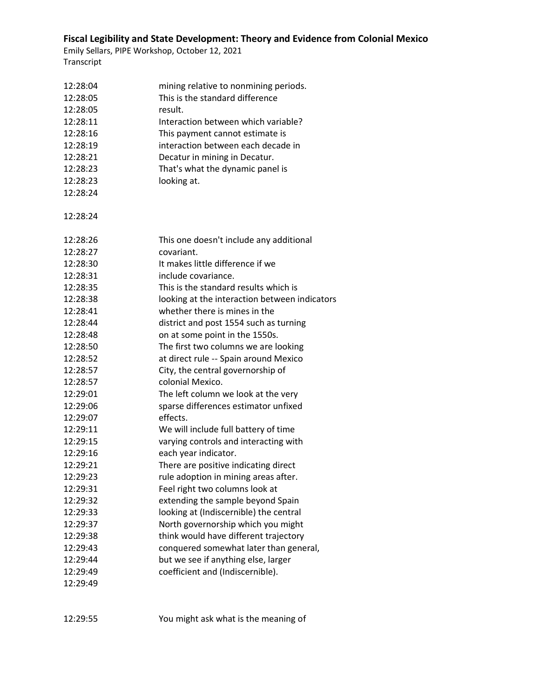| 12:28:04 | mining relative to nonmining periods.         |
|----------|-----------------------------------------------|
| 12:28:05 | This is the standard difference               |
| 12:28:05 | result.                                       |
| 12:28:11 | Interaction between which variable?           |
| 12:28:16 | This payment cannot estimate is               |
| 12:28:19 | interaction between each decade in            |
| 12:28:21 | Decatur in mining in Decatur.                 |
| 12:28:23 | That's what the dynamic panel is              |
| 12:28:23 | looking at.                                   |
| 12:28:24 |                                               |
|          |                                               |
| 12:28:24 |                                               |
|          |                                               |
| 12:28:26 | This one doesn't include any additional       |
| 12:28:27 | covariant.                                    |
| 12:28:30 | It makes little difference if we              |
| 12:28:31 | include covariance.                           |
| 12:28:35 | This is the standard results which is         |
| 12:28:38 | looking at the interaction between indicators |
| 12:28:41 | whether there is mines in the                 |
| 12:28:44 | district and post 1554 such as turning        |
| 12:28:48 | on at some point in the 1550s.                |
| 12:28:50 | The first two columns we are looking          |
| 12:28:52 | at direct rule -- Spain around Mexico         |
| 12:28:57 | City, the central governorship of             |
| 12:28:57 | colonial Mexico.                              |
| 12:29:01 | The left column we look at the very           |
| 12:29:06 | sparse differences estimator unfixed          |
| 12:29:07 | effects.                                      |
| 12:29:11 | We will include full battery of time          |
| 12:29:15 | varying controls and interacting with         |
| 12:29:16 | each year indicator.                          |
| 12:29:21 | There are positive indicating direct          |
| 12:29:23 | rule adoption in mining areas after.          |
| 12:29:31 | Feel right two columns look at                |
| 12:29:32 | extending the sample beyond Spain             |
| 12:29:33 | looking at (Indiscernible) the central        |
| 12:29:37 | North governorship which you might            |
| 12:29:38 | think would have different trajectory         |
| 12:29:43 | conquered somewhat later than general,        |
| 12:29:44 | but we see if anything else, larger           |
| 12:29:49 | coefficient and (Indiscernible).              |
| 12:29:49 |                                               |
|          |                                               |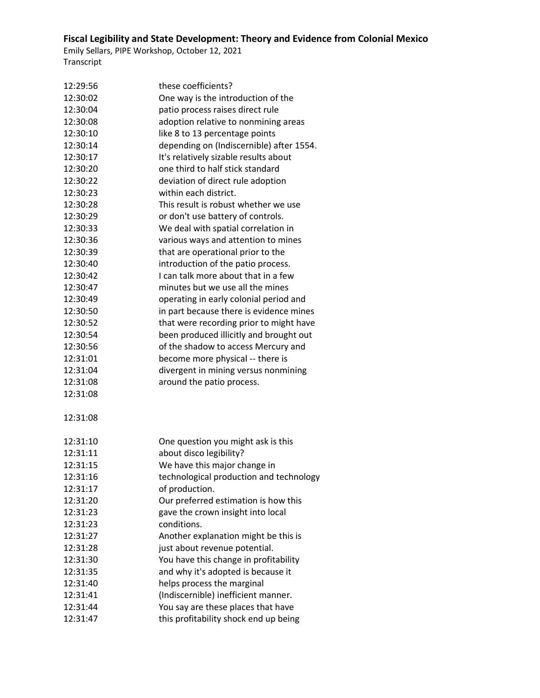| 12:29:56 | these coefficients?                      |  |
|----------|------------------------------------------|--|
| 12:30:02 | One way is the introduction of the       |  |
| 12:30:04 | patio process raises direct rule         |  |
| 12:30:08 | adoption relative to nonmining areas     |  |
| 12:30:10 | like 8 to 13 percentage points           |  |
| 12:30:14 | depending on (Indiscernible) after 1554. |  |
| 12:30:17 | It's relatively sizable results about    |  |
| 12:30:20 | one third to half stick standard         |  |
| 12:30:22 | deviation of direct rule adoption        |  |
| 12:30:23 | within each district.                    |  |
| 12:30:28 | This result is robust whether we use     |  |
| 12:30:29 | or don't use battery of controls.        |  |
| 12:30:33 | We deal with spatial correlation in      |  |
| 12:30:36 | various ways and attention to mines      |  |
| 12:30:39 | that are operational prior to the        |  |
| 12:30:40 | introduction of the patio process.       |  |
| 12:30:42 | I can talk more about that in a few      |  |
| 12:30:47 | minutes but we use all the mines         |  |
| 12:30:49 | operating in early colonial period and   |  |
| 12:30:50 | in part because there is evidence mines  |  |
| 12:30:52 | that were recording prior to might have  |  |
| 12:30:54 | been produced illicitly and brought out  |  |
| 12:30:56 | of the shadow to access Mercury and      |  |
| 12:31:01 | become more physical -- there is         |  |
| 12:31:04 | divergent in mining versus nonmining     |  |
| 12:31:08 | around the patio process.                |  |
| 12:31:08 |                                          |  |
| 12:31:08 |                                          |  |
| 12:31:10 | One question you might ask is this       |  |
| 12:31:11 | about disco legibility?                  |  |
| 12:31:15 | We have this major change in             |  |
| 12:31:16 | technological production and technology  |  |
| 12:31:17 | of production.                           |  |
| 12:31:20 | Our preferred estimation is how this     |  |
| 12:31:23 | gave the crown insight into local        |  |
| 12:31:23 | conditions.                              |  |
| 12:31:27 | Another explanation might be this is     |  |
| 12:31:28 | just about revenue potential.            |  |
| 12:31:30 | You have this change in profitability    |  |
| 12:31:35 | and why it's adopted is because it       |  |
| 12:31:40 | helps process the marginal               |  |
| 12:31:41 | (Indiscernible) inefficient manner.      |  |
| 12:31:44 | You say are these places that have       |  |
| 12:31:47 | this profitability shock end up being    |  |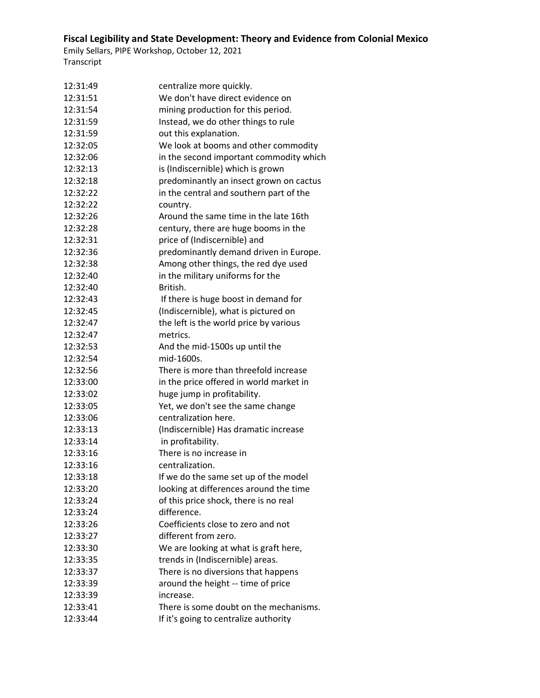| 12:31:49             | centralize more quickly.                                  |
|----------------------|-----------------------------------------------------------|
| 12:31:51             | We don't have direct evidence on                          |
| 12:31:54             | mining production for this period.                        |
| 12:31:59             | Instead, we do other things to rule                       |
| 12:31:59             | out this explanation.                                     |
| 12:32:05             | We look at booms and other commodity                      |
| 12:32:06             | in the second important commodity which                   |
| 12:32:13             | is (Indiscernible) which is grown                         |
| 12:32:18             | predominantly an insect grown on cactus                   |
| 12:32:22             | in the central and southern part of the                   |
| 12:32:22             | country.                                                  |
| 12:32:26             | Around the same time in the late 16th                     |
| 12:32:28             | century, there are huge booms in the                      |
| 12:32:31             | price of (Indiscernible) and                              |
| 12:32:36             | predominantly demand driven in Europe.                    |
| 12:32:38             | Among other things, the red dye used                      |
| 12:32:40             | in the military uniforms for the                          |
| 12:32:40             | British.                                                  |
| 12:32:43             | If there is huge boost in demand for                      |
| 12:32:45             | (Indiscernible), what is pictured on                      |
| 12:32:47             | the left is the world price by various                    |
| 12:32:47             | metrics.                                                  |
| 12:32:53             | And the mid-1500s up until the                            |
| 12:32:54             | mid-1600s.                                                |
| 12:32:56             | There is more than threefold increase                     |
| 12:33:00             |                                                           |
|                      | in the price offered in world market in                   |
| 12:33:02             | huge jump in profitability.                               |
| 12:33:05<br>12:33:06 | Yet, we don't see the same change<br>centralization here. |
| 12:33:13             | (Indiscernible) Has dramatic increase                     |
| 12:33:14             | in profitability.                                         |
|                      | There is no increase in                                   |
| 12:33:16             |                                                           |
| 12:33:16             | centralization.                                           |
| 12:33:18             | If we do the same set up of the model                     |
| 12:33:20             | looking at differences around the time                    |
| 12:33:24             | of this price shock, there is no real                     |
| 12:33:24             | difference.                                               |
| 12:33:26             | Coefficients close to zero and not                        |
| 12:33:27             | different from zero.                                      |
| 12:33:30             | We are looking at what is graft here,                     |
| 12:33:35             | trends in (Indiscernible) areas.                          |
| 12:33:37             | There is no diversions that happens                       |
| 12:33:39             | around the height -- time of price                        |
| 12:33:39             | increase.                                                 |
| 12:33:41             | There is some doubt on the mechanisms.                    |
| 12:33:44             | If it's going to centralize authority                     |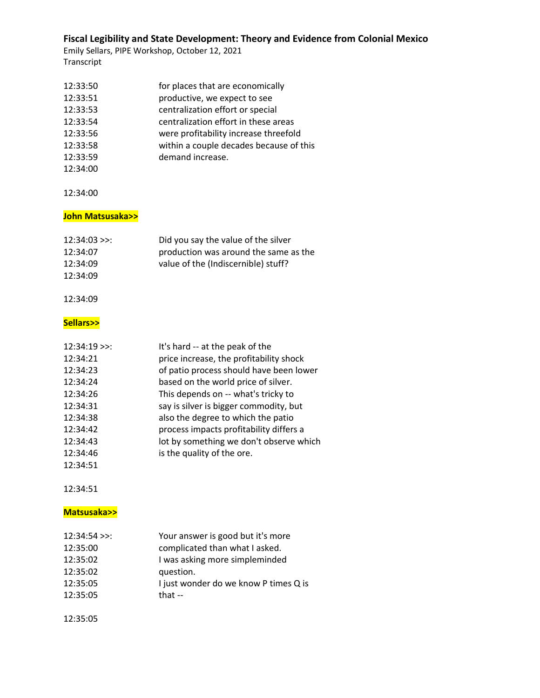Emily Sellars, PIPE Workshop, October 12, 2021 Transcript

| 12:33:50 | for places that are economically        |
|----------|-----------------------------------------|
| 12:33:51 | productive, we expect to see            |
| 12:33:53 | centralization effort or special        |
| 12:33:54 | centralization effort in these areas    |
| 12:33:56 | were profitability increase threefold   |
| 12:33:58 | within a couple decades because of this |
| 12:33:59 | demand increase.                        |
| 12:34:00 |                                         |

12:34:00

### **John Matsusaka>>**

| $12:34:03$ >>: | Did you say the value of the silver   |
|----------------|---------------------------------------|
| 12:34:07       | production was around the same as the |
| 12:34:09       | value of the (Indiscernible) stuff?   |
| 12:34:09       |                                       |
|                |                                       |

#### 12:34:09

#### **Sellars>>**

| $12:34:19$ >>: | It's hard -- at the peak of the         |
|----------------|-----------------------------------------|
| 12:34:21       | price increase, the profitability shock |
| 12:34:23       | of patio process should have been lower |
| 12:34:24       | based on the world price of silver.     |
| 12:34:26       | This depends on -- what's tricky to     |
| 12:34:31       | say is silver is bigger commodity, but  |
| 12:34:38       | also the degree to which the patio      |
| 12:34:42       | process impacts profitability differs a |
| 12:34:43       | lot by something we don't observe which |
| 12:34:46       | is the quality of the ore.              |
| 12:34:51       |                                         |

12:34:51

### **Matsusaka>>**

| $12:34:54$ >>: | Your answer is good but it's more     |
|----------------|---------------------------------------|
| 12:35:00       | complicated than what I asked.        |
| 12:35:02       | I was asking more simpleminded        |
| 12:35:02       | question.                             |
| 12:35:05       | I just wonder do we know P times Q is |
| 12:35:05       | that $-$                              |
|                |                                       |

12:35:05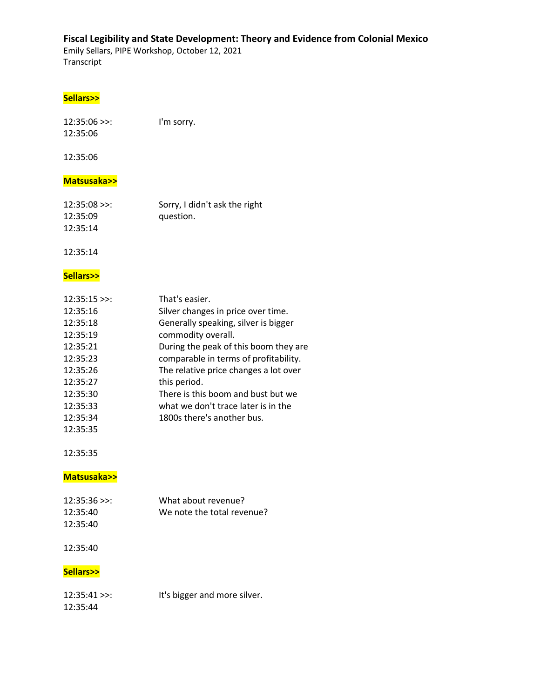Emily Sellars, PIPE Workshop, October 12, 2021 Transcript

### **Sellars>>**

| $12:35:06$ >>: | I'm sorry. |
|----------------|------------|
| 12:35:06       |            |

12:35:06

### **Matsusaka>>**

| $12:35:08$ >>: | Sorry, I didn't ask the right |
|----------------|-------------------------------|
| 12:35:09       | question.                     |
| 12:35:14       |                               |

12:35:14

### **Sellars>>**

| $12:35:15$ >>: | That's easier.                        |
|----------------|---------------------------------------|
| 12:35:16       | Silver changes in price over time.    |
| 12:35:18       | Generally speaking, silver is bigger  |
| 12:35:19       | commodity overall.                    |
| 12:35:21       | During the peak of this boom they are |
| 12:35:23       | comparable in terms of profitability. |
| 12:35:26       | The relative price changes a lot over |
| 12:35:27       | this period.                          |
| 12:35:30       | There is this boom and bust but we    |
| 12:35:33       | what we don't trace later is in the   |
| 12:35:34       | 1800s there's another bus.            |
| 12:35:35       |                                       |

12:35:35

#### **Matsusaka>>**

| $12:35:36$ >>: | What about revenue?        |
|----------------|----------------------------|
| 12:35:40       | We note the total revenue? |
| 12:35:40       |                            |

#### 12:35:40

### **Sellars>>**

| $12:35:41$ >>: | It's bigger and more silver. |
|----------------|------------------------------|
| 12:35:44       |                              |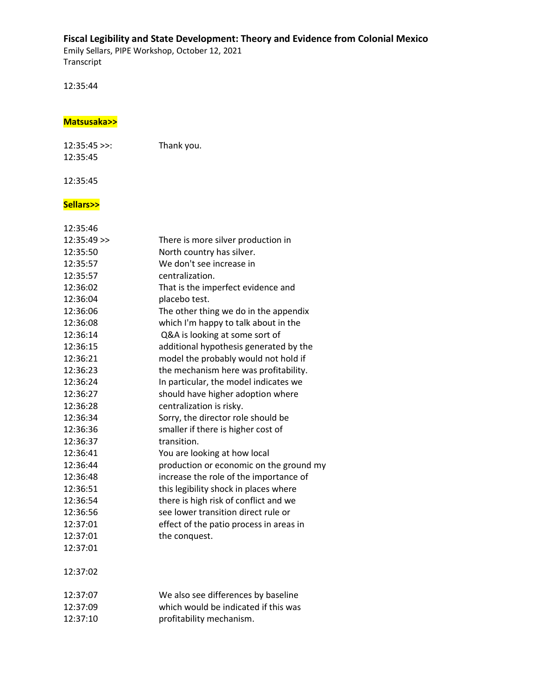Emily Sellars, PIPE Workshop, October 12, 2021 Transcript

12:35:44

#### **Matsusaka>>**

12:35:45 >>: Thank you. 12:35:45

12:35:45

#### **Sellars>>**

| 12:35:46      |                                         |
|---------------|-----------------------------------------|
| $12:35:49$ >> | There is more silver production in      |
| 12:35:50      | North country has silver.               |
| 12:35:57      | We don't see increase in                |
| 12:35:57      | centralization.                         |
| 12:36:02      | That is the imperfect evidence and      |
| 12:36:04      | placebo test.                           |
| 12:36:06      | The other thing we do in the appendix   |
| 12:36:08      | which I'm happy to talk about in the    |
| 12:36:14      | Q&A is looking at some sort of          |
| 12:36:15      | additional hypothesis generated by the  |
| 12:36:21      | model the probably would not hold if    |
| 12:36:23      | the mechanism here was profitability.   |
| 12:36:24      | In particular, the model indicates we   |
| 12:36:27      | should have higher adoption where       |
| 12:36:28      | centralization is risky.                |
| 12:36:34      | Sorry, the director role should be      |
| 12:36:36      | smaller if there is higher cost of      |
| 12:36:37      | transition.                             |
| 12:36:41      | You are looking at how local            |
| 12:36:44      | production or economic on the ground my |
| 12:36:48      | increase the role of the importance of  |
| 12:36:51      | this legibility shock in places where   |
| 12:36:54      | there is high risk of conflict and we   |
| 12:36:56      | see lower transition direct rule or     |
| 12:37:01      | effect of the patio process in areas in |
| 12:37:01      | the conquest.                           |
| 12:37:01      |                                         |
| 12:37:02      |                                         |
| 12:37:07      | We also see differences by baseline     |
| 12:37:09      | which would be indicated if this was    |

12:37:10 profitability mechanism.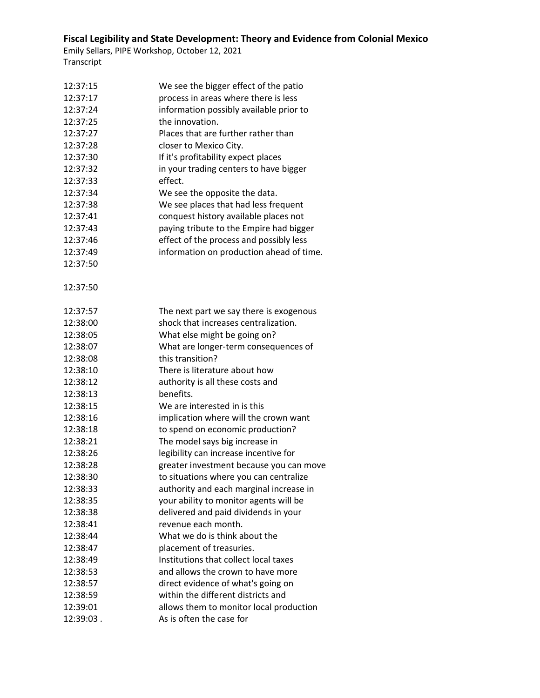| 12:37:15  | We see the bigger effect of the patio    |
|-----------|------------------------------------------|
| 12:37:17  | process in areas where there is less     |
| 12:37:24  | information possibly available prior to  |
| 12:37:25  | the innovation.                          |
| 12:37:27  | Places that are further rather than      |
| 12:37:28  | closer to Mexico City.                   |
| 12:37:30  | If it's profitability expect places      |
| 12:37:32  | in your trading centers to have bigger   |
| 12:37:33  | effect.                                  |
| 12:37:34  | We see the opposite the data.            |
| 12:37:38  | We see places that had less frequent     |
| 12:37:41  | conquest history available places not    |
| 12:37:43  | paying tribute to the Empire had bigger  |
| 12:37:46  | effect of the process and possibly less  |
| 12:37:49  | information on production ahead of time. |
| 12:37:50  |                                          |
| 12:37:50  |                                          |
| 12:37:57  | The next part we say there is exogenous  |
| 12:38:00  | shock that increases centralization.     |
| 12:38:05  | What else might be going on?             |
| 12:38:07  | What are longer-term consequences of     |
| 12:38:08  | this transition?                         |
| 12:38:10  | There is literature about how            |
| 12:38:12  | authority is all these costs and         |
| 12:38:13  | benefits.                                |
| 12:38:15  | We are interested in is this             |
| 12:38:16  | implication where will the crown want    |
| 12:38:18  | to spend on economic production?         |
| 12:38:21  | The model says big increase in           |
| 12:38:26  | legibility can increase incentive for    |
| 12:38:28  | greater investment because you can move  |
| 12:38:30  | to situations where you can centralize   |
| 12:38:33  | authority and each marginal increase in  |
| 12:38:35  | your ability to monitor agents will be   |
| 12:38:38  | delivered and paid dividends in your     |
| 12:38:41  | revenue each month.                      |
| 12:38:44  | What we do is think about the            |
| 12:38:47  | placement of treasuries.                 |
| 12:38:49  | Institutions that collect local taxes    |
| 12:38:53  | and allows the crown to have more        |
| 12:38:57  | direct evidence of what's going on       |
| 12:38:59  | within the different districts and       |
| 12:39:01  | allows them to monitor local production  |
| 12:39:03. | As is often the case for                 |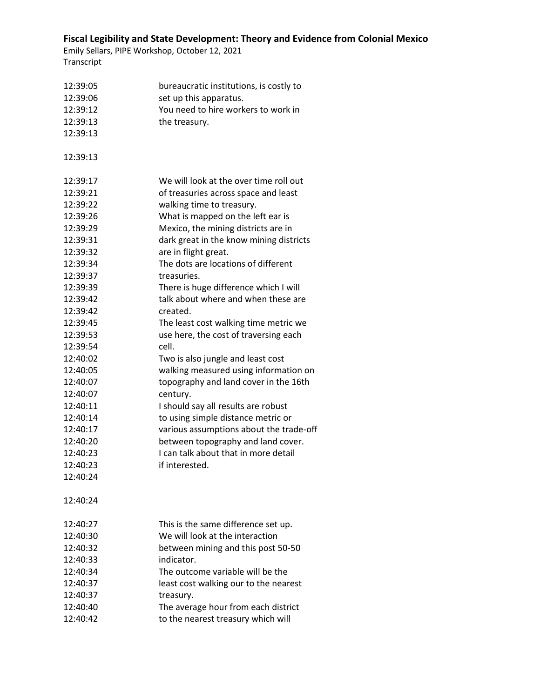| 12:39:05 | bureaucratic institutions, is costly to |
|----------|-----------------------------------------|
| 12:39:06 | set up this apparatus.                  |
| 12:39:12 | You need to hire workers to work in     |
| 12:39:13 | the treasury.                           |
| 12:39:13 |                                         |
|          |                                         |
| 12:39:13 |                                         |
| 12:39:17 | We will look at the over time roll out  |
| 12:39:21 | of treasuries across space and least    |
| 12:39:22 | walking time to treasury.               |
| 12:39:26 | What is mapped on the left ear is       |
| 12:39:29 | Mexico, the mining districts are in     |
| 12:39:31 | dark great in the know mining districts |
| 12:39:32 | are in flight great.                    |
| 12:39:34 | The dots are locations of different     |
| 12:39:37 | treasuries.                             |
| 12:39:39 | There is huge difference which I will   |
| 12:39:42 | talk about where and when these are     |
| 12:39:42 | created.                                |
| 12:39:45 | The least cost walking time metric we   |
| 12:39:53 | use here, the cost of traversing each   |
| 12:39:54 | cell.                                   |
| 12:40:02 | Two is also jungle and least cost       |
| 12:40:05 | walking measured using information on   |
| 12:40:07 | topography and land cover in the 16th   |
| 12:40:07 | century.                                |
| 12:40:11 | I should say all results are robust     |
| 12:40:14 | to using simple distance metric or      |
| 12:40:17 | various assumptions about the trade-off |
| 12:40:20 | between topography and land cover.      |
| 12:40:23 | I can talk about that in more detail    |
| 12:40:23 | if interested.                          |
| 12:40:24 |                                         |
| 12:40:24 |                                         |
| 12:40:27 | This is the same difference set up.     |
| 12:40:30 | We will look at the interaction         |
| 12:40:32 | between mining and this post 50-50      |
| 12:40:33 | indicator.                              |
| 12:40:34 | The outcome variable will be the        |
| 12:40:37 | least cost walking our to the nearest   |
| 12:40:37 | treasury.                               |
| 12:40:40 | The average hour from each district     |
| 12:40:42 | to the nearest treasury which will      |
|          |                                         |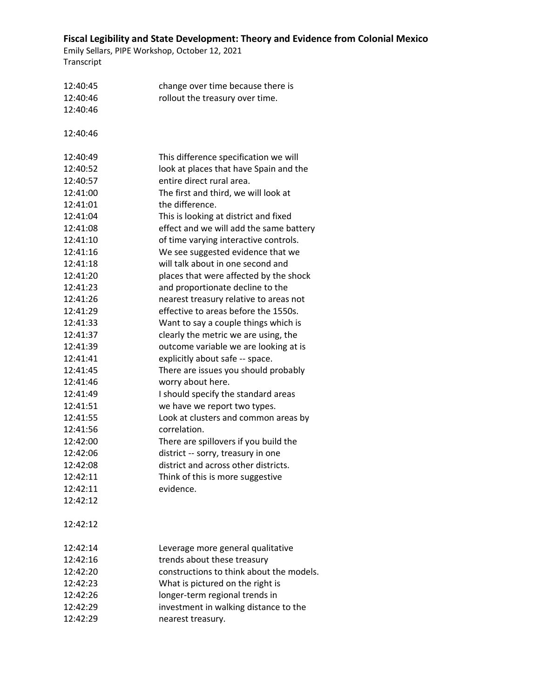| 12:40:45 | change over time because there is        |
|----------|------------------------------------------|
| 12:40:46 | rollout the treasury over time.          |
| 12:40:46 |                                          |
|          |                                          |
| 12:40:46 |                                          |
| 12:40:49 | This difference specification we will    |
| 12:40:52 | look at places that have Spain and the   |
| 12:40:57 | entire direct rural area.                |
| 12:41:00 | The first and third, we will look at     |
| 12:41:01 | the difference.                          |
| 12:41:04 | This is looking at district and fixed    |
| 12:41:08 | effect and we will add the same battery  |
| 12:41:10 | of time varying interactive controls.    |
| 12:41:16 | We see suggested evidence that we        |
| 12:41:18 | will talk about in one second and        |
| 12:41:20 | places that were affected by the shock   |
| 12:41:23 | and proportionate decline to the         |
| 12:41:26 | nearest treasury relative to areas not   |
| 12:41:29 | effective to areas before the 1550s.     |
| 12:41:33 | Want to say a couple things which is     |
| 12:41:37 | clearly the metric we are using, the     |
| 12:41:39 | outcome variable we are looking at is    |
| 12:41:41 | explicitly about safe -- space.          |
| 12:41:45 | There are issues you should probably     |
| 12:41:46 | worry about here.                        |
| 12:41:49 | I should specify the standard areas      |
| 12:41:51 | we have we report two types.             |
| 12:41:55 | Look at clusters and common areas by     |
| 12:41:56 | correlation.                             |
| 12:42:00 | There are spillovers if you build the    |
| 12:42:06 | district -- sorry, treasury in one       |
| 12:42:08 | district and across other districts.     |
| 12:42:11 | Think of this is more suggestive         |
| 12:42:11 | evidence.                                |
| 12:42:12 |                                          |
| 12:42:12 |                                          |
| 12:42:14 | Leverage more general qualitative        |
| 12:42:16 | trends about these treasury              |
| 12:42:20 | constructions to think about the models. |
| 12:42:23 | What is pictured on the right is         |
| 12:42:26 | longer-term regional trends in           |
| 12:42:29 | investment in walking distance to the    |
| 12:42:29 | nearest treasury.                        |
|          |                                          |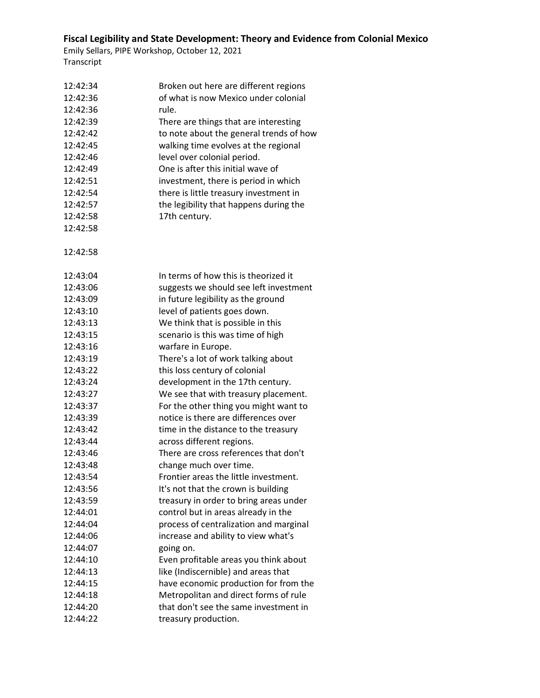| 12:42:34 | Broken out here are different regions   |
|----------|-----------------------------------------|
| 12:42:36 | of what is now Mexico under colonial    |
| 12:42:36 | rule.                                   |
| 12:42:39 | There are things that are interesting   |
| 12:42:42 | to note about the general trends of how |
| 12:42:45 | walking time evolves at the regional    |
| 12:42:46 | level over colonial period.             |
| 12:42:49 | One is after this initial wave of       |
| 12:42:51 | investment, there is period in which    |
| 12:42:54 | there is little treasury investment in  |
| 12:42:57 | the legibility that happens during the  |
| 12:42:58 | 17th century.                           |
| 12:42:58 |                                         |
|          |                                         |
| 12:42:58 |                                         |
| 12:43:04 | In terms of how this is theorized it    |
| 12:43:06 | suggests we should see left investment  |
| 12:43:09 | in future legibility as the ground      |
| 12:43:10 | level of patients goes down.            |
| 12:43:13 | We think that is possible in this       |
| 12:43:15 | scenario is this was time of high       |
| 12:43:16 | warfare in Europe.                      |
| 12:43:19 | There's a lot of work talking about     |
| 12:43:22 | this loss century of colonial           |
| 12:43:24 | development in the 17th century.        |
| 12:43:27 | We see that with treasury placement.    |
| 12:43:37 | For the other thing you might want to   |
| 12:43:39 | notice is there are differences over    |
| 12:43:42 | time in the distance to the treasury    |
| 12:43:44 | across different regions.               |
| 12:43:46 | There are cross references that don't   |
| 12:43:48 | change much over time.                  |
| 12:43:54 | Frontier areas the little investment.   |
| 12:43:56 | It's not that the crown is building     |
| 12:43:59 | treasury in order to bring areas under  |
| 12:44:01 | control but in areas already in the     |
| 12:44:04 | process of centralization and marginal  |
| 12:44:06 | increase and ability to view what's     |
| 12:44:07 | going on.                               |
| 12:44:10 | Even profitable areas you think about   |
| 12:44:13 | like (Indiscernible) and areas that     |
| 12:44:15 | have economic production for from the   |
| 12:44:18 | Metropolitan and direct forms of rule   |
| 12:44:20 | that don't see the same investment in   |
| 12:44:22 | treasury production.                    |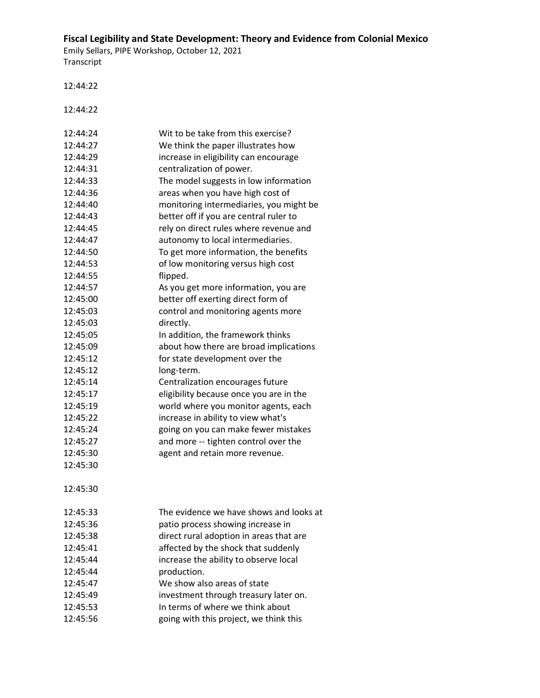Emily Sellars, PIPE Workshop, October 12, 2021 Transcript

12:44:22

12:44:22

| 12:44:24 | Wit to be take from this exercise?      |
|----------|-----------------------------------------|
| 12:44:27 | We think the paper illustrates how      |
| 12:44:29 | increase in eligibility can encourage   |
| 12:44:31 | centralization of power.                |
| 12:44:33 | The model suggests in low information   |
| 12:44:36 | areas when you have high cost of        |
| 12:44:40 | monitoring intermediaries, you might be |
| 12:44:43 | better off if you are central ruler to  |
| 12:44:45 | rely on direct rules where revenue and  |
| 12:44:47 | autonomy to local intermediaries.       |
| 12:44:50 | To get more information, the benefits   |
| 12:44:53 | of low monitoring versus high cost      |
| 12:44:55 | flipped.                                |
| 12:44:57 | As you get more information, you are    |
| 12:45:00 | better off exerting direct form of      |
| 12:45:03 | control and monitoring agents more      |
| 12:45:03 | directly.                               |
| 12:45:05 | In addition, the framework thinks       |
| 12:45:09 | about how there are broad implications  |
| 12:45:12 | for state development over the          |
| 12:45:12 | long-term.                              |
| 12:45:14 | Centralization encourages future        |
| 12:45:17 | eligibility because once you are in the |
| 12:45:19 | world where you monitor agents, each    |
| 12:45:22 | increase in ability to view what's      |
| 12:45:24 | going on you can make fewer mistakes    |
| 12:45:27 | and more -- tighten control over the    |
| 12:45:30 | agent and retain more revenue.          |
| 12:45:30 |                                         |
|          |                                         |
| 12:45:30 |                                         |
|          |                                         |
| 12:45:33 | The evidence we have shows and looks at |
| 12:45:36 | patio process showing increase in       |
| 12:45:38 | direct rural adoption in areas that are |
| 12:45:41 | affected by the shock that suddenly     |
| 12:45:44 | increase the ability to observe local   |
| 12:45:44 | production.                             |
| 12:45:47 | We show also areas of state             |
| 12:45:49 | investment through treasury later on.   |
| 12:45:53 | In terms of where we think about        |
| 12:45:56 | going with this project, we think this  |
|          |                                         |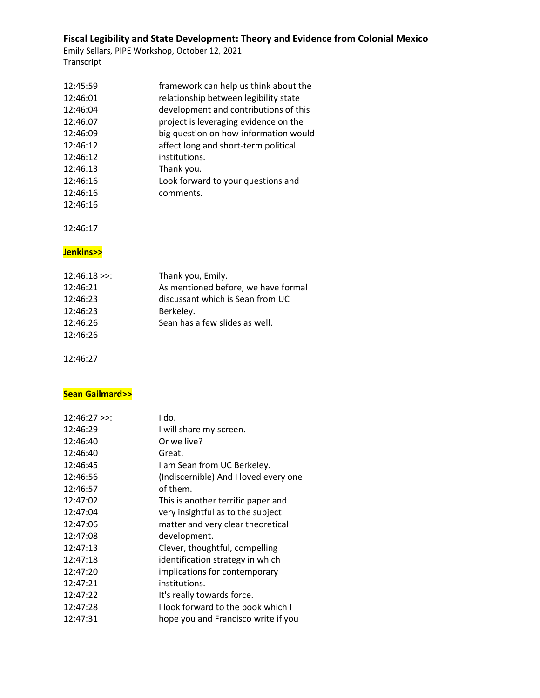Emily Sellars, PIPE Workshop, October 12, 2021 Transcript

| 12:45:59 | framework can help us think about the |
|----------|---------------------------------------|
| 12:46:01 | relationship between legibility state |
| 12:46:04 | development and contributions of this |
| 12:46:07 | project is leveraging evidence on the |
| 12:46:09 | big question on how information would |
| 12:46:12 | affect long and short-term political  |
| 12:46:12 | institutions.                         |
| 12:46:13 | Thank you.                            |
| 12:46:16 | Look forward to your questions and    |
| 12:46:16 | comments.                             |
| 12:46:16 |                                       |

12:46:17

#### **Jenkins>>**

| $12:46:18$ >>: | Thank you, Emily.                   |
|----------------|-------------------------------------|
| 12:46:21       | As mentioned before, we have formal |
| 12:46:23       | discussant which is Sean from UC    |
| 12:46:23       | Berkeley.                           |
| 12:46:26       | Sean has a few slides as well.      |
| 12:46:26       |                                     |

12:46:27

### **Sean Gailmard>>**

| $12:46:27$ >>: | I do.                                 |
|----------------|---------------------------------------|
| 12:46:29       | I will share my screen.               |
| 12:46:40       | Or we live?                           |
| 12:46:40       | Great.                                |
| 12:46:45       | I am Sean from UC Berkeley.           |
| 12:46:56       | (Indiscernible) And I loved every one |
| 12:46:57       | of them.                              |
| 12:47:02       | This is another terrific paper and    |
| 12:47:04       | very insightful as to the subject     |
| 12:47:06       | matter and very clear theoretical     |
| 12:47:08       | development.                          |
| 12:47:13       | Clever, thoughtful, compelling        |
| 12:47:18       | identification strategy in which      |
| 12:47:20       | implications for contemporary         |
| 12:47:21       | institutions.                         |
| 12:47:22       | It's really towards force.            |
| 12:47:28       | I look forward to the book which I    |
| 12:47:31       | hope you and Francisco write if you   |
|                |                                       |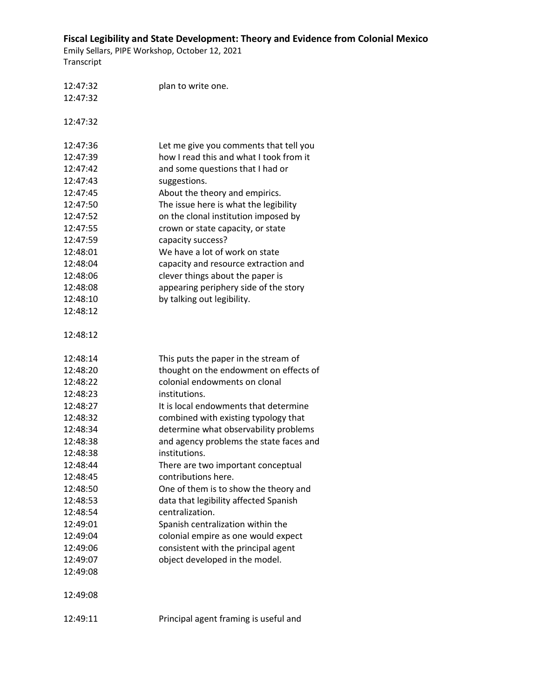| 12:47:32 | plan to write one.                      |
|----------|-----------------------------------------|
| 12:47:32 |                                         |
|          |                                         |
| 12:47:32 |                                         |
| 12:47:36 | Let me give you comments that tell you  |
| 12:47:39 | how I read this and what I took from it |
| 12:47:42 | and some questions that I had or        |
| 12:47:43 | suggestions.                            |
| 12:47:45 | About the theory and empirics.          |
| 12:47:50 | The issue here is what the legibility   |
| 12:47:52 | on the clonal institution imposed by    |
| 12:47:55 | crown or state capacity, or state       |
| 12:47:59 | capacity success?                       |
| 12:48:01 | We have a lot of work on state          |
| 12:48:04 | capacity and resource extraction and    |
| 12:48:06 | clever things about the paper is        |
| 12:48:08 | appearing periphery side of the story   |
| 12:48:10 | by talking out legibility.              |
| 12:48:12 |                                         |
|          |                                         |
| 12:48:12 |                                         |
|          |                                         |
| 12:48:14 | This puts the paper in the stream of    |
| 12:48:20 | thought on the endowment on effects of  |
| 12:48:22 | colonial endowments on clonal           |
| 12:48:23 | institutions.                           |
| 12:48:27 | It is local endowments that determine   |
| 12:48:32 | combined with existing typology that    |
| 12:48:34 | determine what observability problems   |
| 12:48:38 | and agency problems the state faces and |
| 12:48:38 | institutions.                           |
| 12:48:44 | There are two important conceptual      |
| 12:48:45 | contributions here.                     |
| 12:48:50 | One of them is to show the theory and   |
| 12:48:53 | data that legibility affected Spanish   |
| 12:48:54 | centralization.                         |
| 12:49:01 | Spanish centralization within the       |
| 12:49:04 | colonial empire as one would expect     |
| 12:49:06 | consistent with the principal agent     |
| 12:49:07 | object developed in the model.          |
| 12:49:08 |                                         |
|          |                                         |
| 12:49:08 |                                         |
|          |                                         |
|          |                                         |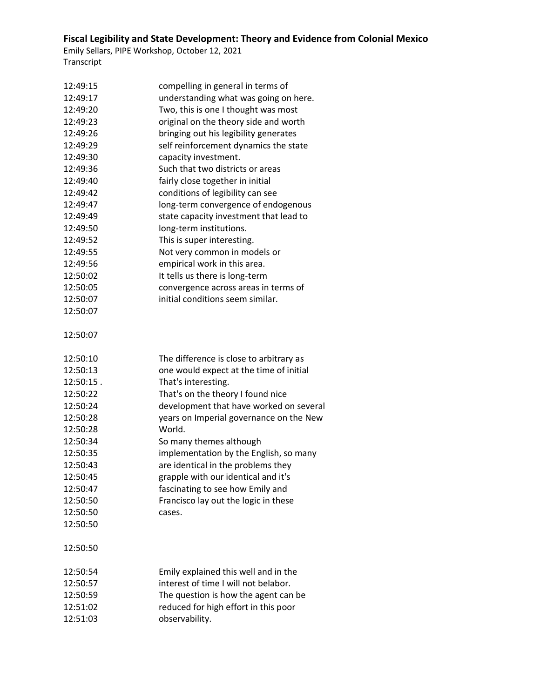| 12:49:15  | compelling in general in terms of       |
|-----------|-----------------------------------------|
| 12:49:17  | understanding what was going on here.   |
| 12:49:20  | Two, this is one I thought was most     |
| 12:49:23  | original on the theory side and worth   |
| 12:49:26  | bringing out his legibility generates   |
| 12:49:29  | self reinforcement dynamics the state   |
| 12:49:30  | capacity investment.                    |
| 12:49:36  | Such that two districts or areas        |
| 12:49:40  | fairly close together in initial        |
| 12:49:42  | conditions of legibility can see        |
| 12:49:47  | long-term convergence of endogenous     |
| 12:49:49  | state capacity investment that lead to  |
| 12:49:50  | long-term institutions.                 |
| 12:49:52  | This is super interesting.              |
| 12:49:55  | Not very common in models or            |
| 12:49:56  | empirical work in this area.            |
| 12:50:02  | It tells us there is long-term          |
| 12:50:05  | convergence across areas in terms of    |
| 12:50:07  | initial conditions seem similar.        |
| 12:50:07  |                                         |
|           |                                         |
| 12:50:07  |                                         |
|           |                                         |
| 12:50:10  | The difference is close to arbitrary as |
| 12:50:13  | one would expect at the time of initial |
| 12:50:15. | That's interesting.                     |
| 12:50:22  | That's on the theory I found nice       |
| 12:50:24  | development that have worked on several |
| 12:50:28  | years on Imperial governance on the New |
| 12:50:28  | World.                                  |
| 12:50:34  | So many themes although                 |
| 12:50:35  | implementation by the English, so many  |
| 12:50:43  | are identical in the problems they      |
| 12:50:45  | grapple with our identical and it's     |
| 12:50:47  | fascinating to see how Emily and        |
| 12:50:50  | Francisco lay out the logic in these    |
| 12:50:50  | cases.                                  |
| 12:50:50  |                                         |
|           |                                         |
| 12:50:50  |                                         |
|           |                                         |
| 12:50:54  | Emily explained this well and in the    |
| 12:50:57  | interest of time I will not belabor.    |
| 12:50:59  | The question is how the agent can be    |
| 12:51:02  | reduced for high effort in this poor    |
| 12:51:03  | observability.                          |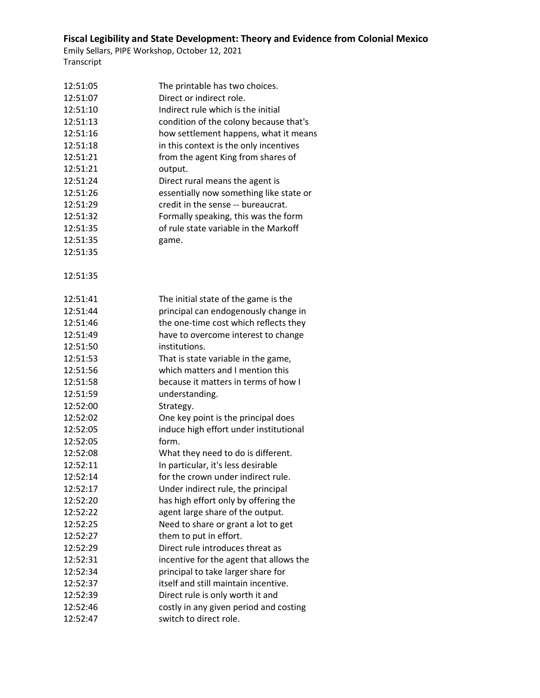| 12:51:05 | The printable has two choices.          |
|----------|-----------------------------------------|
| 12:51:07 | Direct or indirect role.                |
| 12:51:10 | Indirect rule which is the initial      |
| 12:51:13 | condition of the colony because that's  |
| 12:51:16 | how settlement happens, what it means   |
| 12:51:18 | in this context is the only incentives  |
| 12:51:21 | from the agent King from shares of      |
| 12:51:21 | output.                                 |
| 12:51:24 | Direct rural means the agent is         |
| 12:51:26 | essentially now something like state or |
| 12:51:29 | credit in the sense -- bureaucrat.      |
| 12:51:32 | Formally speaking, this was the form    |
| 12:51:35 | of rule state variable in the Markoff   |
| 12:51:35 | game.                                   |
| 12:51:35 |                                         |
|          |                                         |
| 12:51:35 |                                         |
| 12:51:41 | The initial state of the game is the    |
| 12:51:44 | principal can endogenously change in    |
| 12:51:46 | the one-time cost which reflects they   |
| 12:51:49 |                                         |
|          | have to overcome interest to change     |
| 12:51:50 | institutions.                           |
| 12:51:53 | That is state variable in the game,     |
| 12:51:56 | which matters and I mention this        |
| 12:51:58 | because it matters in terms of how I    |
| 12:51:59 | understanding.                          |
| 12:52:00 | Strategy.                               |
| 12:52:02 | One key point is the principal does     |
| 12:52:05 | induce high effort under institutional  |
| 12:52:05 | form.                                   |
| 12:52:08 | What they need to do is different.      |
| 12:52:11 | In particular, it's less desirable      |
| 12:52:14 | for the crown under indirect rule.      |
| 12:52:17 | Under indirect rule, the principal      |
| 12:52:20 | has high effort only by offering the    |
| 12:52:22 | agent large share of the output.        |
| 12:52:25 | Need to share or grant a lot to get     |
| 12:52:27 | them to put in effort.                  |
| 12:52:29 | Direct rule introduces threat as        |
| 12:52:31 | incentive for the agent that allows the |
| 12:52:34 | principal to take larger share for      |
| 12:52:37 | itself and still maintain incentive.    |
| 12:52:39 | Direct rule is only worth it and        |
| 12:52:46 | costly in any given period and costing  |
| 12:52:47 | switch to direct role.                  |
|          |                                         |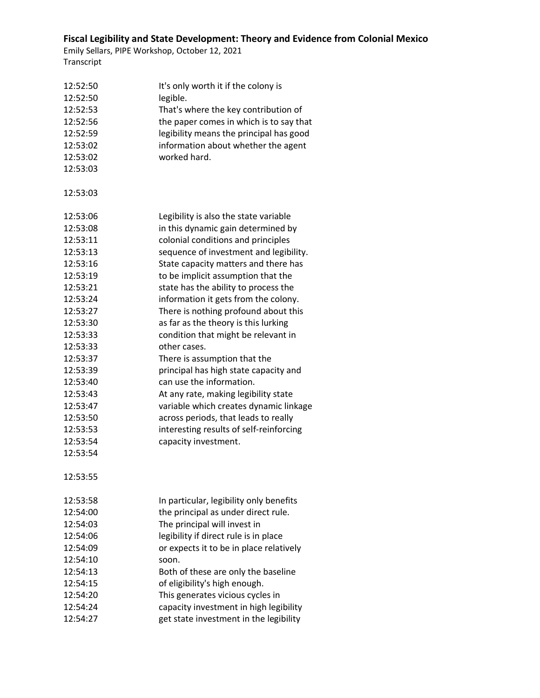| 12:52:50 | It's only worth it if the colony is     |
|----------|-----------------------------------------|
| 12:52:50 | legible.                                |
| 12:52:53 | That's where the key contribution of    |
| 12:52:56 | the paper comes in which is to say that |
| 12:52:59 | legibility means the principal has good |
| 12:53:02 | information about whether the agent     |
| 12:53:02 | worked hard.                            |
| 12:53:03 |                                         |
| 12:53:03 |                                         |
| 12:53:06 | Legibility is also the state variable   |
| 12:53:08 | in this dynamic gain determined by      |
| 12:53:11 | colonial conditions and principles      |
| 12:53:13 | sequence of investment and legibility.  |
| 12:53:16 | State capacity matters and there has    |
| 12:53:19 | to be implicit assumption that the      |
| 12:53:21 | state has the ability to process the    |
| 12:53:24 | information it gets from the colony.    |
| 12:53:27 | There is nothing profound about this    |
| 12:53:30 | as far as the theory is this lurking    |
| 12:53:33 | condition that might be relevant in     |
| 12:53:33 | other cases.                            |
| 12:53:37 | There is assumption that the            |
| 12:53:39 | principal has high state capacity and   |
| 12:53:40 | can use the information.                |
| 12:53:43 | At any rate, making legibility state    |
| 12:53:47 | variable which creates dynamic linkage  |
| 12:53:50 | across periods, that leads to really    |
| 12:53:53 | interesting results of self-reinforcing |
| 12:53:54 | capacity investment.                    |
| 12:53:54 |                                         |
| 12:53:55 |                                         |
| 12:53:58 | In particular, legibility only benefits |
| 12:54:00 | the principal as under direct rule.     |
| 12:54:03 | The principal will invest in            |
| 12:54:06 | legibility if direct rule is in place   |
| 12:54:09 | or expects it to be in place relatively |
| 12:54:10 | soon.                                   |
| 12:54:13 | Both of these are only the baseline     |
| 12:54:15 | of eligibility's high enough.           |
| 12:54:20 | This generates vicious cycles in        |
| 12:54:24 | capacity investment in high legibility  |
| 12:54:27 | get state investment in the legibility  |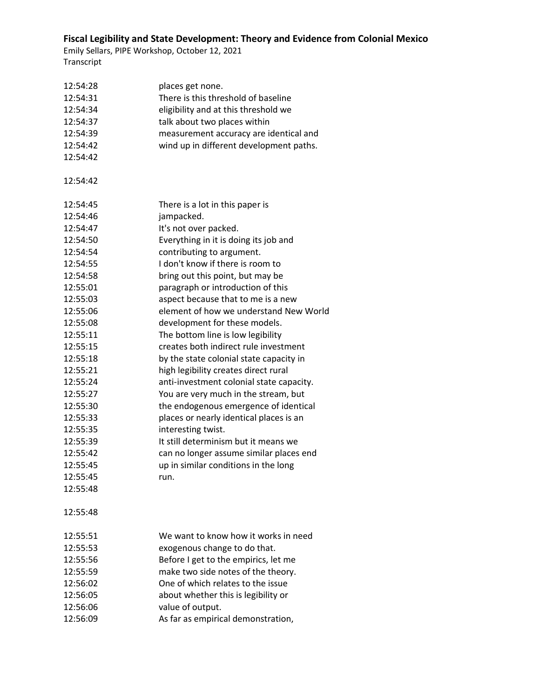| 12:54:28 | places get none.                         |
|----------|------------------------------------------|
| 12:54:31 | There is this threshold of baseline      |
| 12:54:34 | eligibility and at this threshold we     |
| 12:54:37 | talk about two places within             |
| 12:54:39 | measurement accuracy are identical and   |
| 12:54:42 | wind up in different development paths.  |
| 12:54:42 |                                          |
|          |                                          |
| 12:54:42 |                                          |
|          |                                          |
| 12:54:45 | There is a lot in this paper is          |
| 12:54:46 | jampacked.                               |
| 12:54:47 | It's not over packed.                    |
| 12:54:50 | Everything in it is doing its job and    |
| 12:54:54 | contributing to argument.                |
| 12:54:55 | I don't know if there is room to         |
| 12:54:58 | bring out this point, but may be         |
| 12:55:01 | paragraph or introduction of this        |
| 12:55:03 | aspect because that to me is a new       |
| 12:55:06 | element of how we understand New World   |
| 12:55:08 | development for these models.            |
| 12:55:11 | The bottom line is low legibility        |
| 12:55:15 | creates both indirect rule investment    |
| 12:55:18 | by the state colonial state capacity in  |
| 12:55:21 | high legibility creates direct rural     |
| 12:55:24 | anti-investment colonial state capacity. |
| 12:55:27 | You are very much in the stream, but     |
| 12:55:30 | the endogenous emergence of identical    |
| 12:55:33 | places or nearly identical places is an  |
| 12:55:35 | interesting twist.                       |
| 12:55:39 | It still determinism but it means we     |
| 12:55:42 | can no longer assume similar places end  |
| 12:55:45 | up in similar conditions in the long     |
| 12:55:45 | run                                      |
| 12:55:48 |                                          |
|          |                                          |
| 12:55:48 |                                          |
|          |                                          |
| 12:55:51 | We want to know how it works in need     |
| 12:55:53 | exogenous change to do that.             |
| 12:55:56 | Before I get to the empirics, let me     |
| 12:55:59 | make two side notes of the theory.       |
| 12:56:02 | One of which relates to the issue        |
| 12:56:05 | about whether this is legibility or      |
| 12:56:06 | value of output.                         |
| 12:56:09 | As far as empirical demonstration,       |
|          |                                          |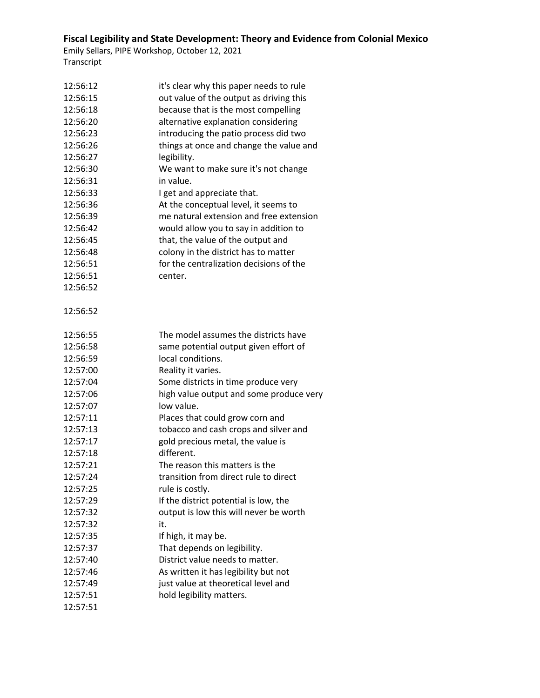| 12:56:12 | it's clear why this paper needs to rule |
|----------|-----------------------------------------|
| 12:56:15 | out value of the output as driving this |
| 12:56:18 | because that is the most compelling     |
| 12:56:20 | alternative explanation considering     |
| 12:56:23 | introducing the patio process did two   |
| 12:56:26 | things at once and change the value and |
| 12:56:27 | legibility.                             |
| 12:56:30 | We want to make sure it's not change    |
| 12:56:31 | in value.                               |
| 12:56:33 | I get and appreciate that.              |
| 12:56:36 | At the conceptual level, it seems to    |
| 12:56:39 | me natural extension and free extension |
| 12:56:42 | would allow you to say in addition to   |
| 12:56:45 | that, the value of the output and       |
| 12:56:48 | colony in the district has to matter    |
| 12:56:51 | for the centralization decisions of the |
| 12:56:51 | center.                                 |
| 12:56:52 |                                         |
| 12:56:52 |                                         |
| 12:56:55 | The model assumes the districts have    |
| 12:56:58 | same potential output given effort of   |
| 12:56:59 | local conditions.                       |
| 12:57:00 | Reality it varies.                      |
| 12:57:04 | Some districts in time produce very     |
| 12:57:06 | high value output and some produce very |
| 12:57:07 | low value.                              |
| 12:57:11 | Places that could grow corn and         |
| 12:57:13 | tobacco and cash crops and silver and   |
| 12:57:17 | gold precious metal, the value is       |
| 12:57:18 | different.                              |
| 12:57:21 | The reason this matters is the          |
| 12:57:24 | transition from direct rule to direct   |
| 12:57:25 | rule is costly.                         |
| 12:57:29 | If the district potential is low, the   |
| 12:57:32 | output is low this will never be worth  |
| 12:57:32 | it.                                     |
| 12:57:35 | If high, it may be.                     |
| 12:57:37 | That depends on legibility.             |
| 12:57:40 | District value needs to matter.         |
| 12:57:46 | As written it has legibility but not    |
| 12:57:49 | just value at theoretical level and     |
| 12:57:51 | hold legibility matters.                |
| 12:57:51 |                                         |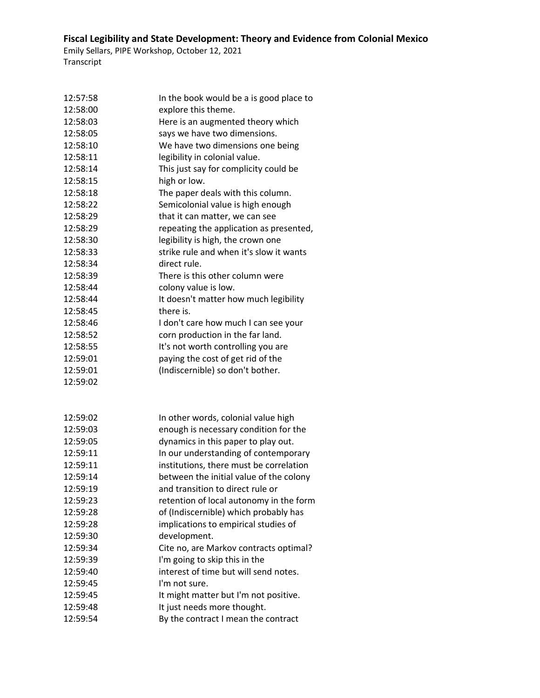| 12:57:58 | In the book would be a is good place to |
|----------|-----------------------------------------|
| 12:58:00 | explore this theme.                     |
| 12:58:03 | Here is an augmented theory which       |
| 12:58:05 | says we have two dimensions.            |
| 12:58:10 | We have two dimensions one being        |
| 12:58:11 | legibility in colonial value.           |
| 12:58:14 | This just say for complicity could be   |
| 12:58:15 | high or low.                            |
| 12:58:18 | The paper deals with this column.       |
| 12:58:22 | Semicolonial value is high enough       |
| 12:58:29 | that it can matter, we can see          |
| 12:58:29 | repeating the application as presented, |
| 12:58:30 | legibility is high, the crown one       |
| 12:58:33 | strike rule and when it's slow it wants |
| 12:58:34 | direct rule.                            |
| 12:58:39 | There is this other column were         |
| 12:58:44 | colony value is low.                    |
| 12:58:44 | It doesn't matter how much legibility   |
| 12:58:45 | there is.                               |
| 12:58:46 | I don't care how much I can see your    |
| 12:58:52 | corn production in the far land.        |
| 12:58:55 | It's not worth controlling you are      |
| 12:59:01 | paying the cost of get rid of the       |
| 12:59:01 | (Indiscernible) so don't bother.        |
| 12:59:02 |                                         |
|          |                                         |
| 12:59:02 | In other words, colonial value high     |
| 12:59:03 | enough is necessary condition for the   |
| 12:59:05 | dynamics in this paper to play out.     |
| 12:59:11 | In our understanding of contemporary    |
| 12:59:11 | institutions, there must be correlation |
| 12:59:14 | between the initial value of the colony |
| 12:59:19 | and transition to direct rule or        |
| 12:59:23 | retention of local autonomy in the form |
| 12:59:28 | of (Indiscernible) which probably has   |
| 12:59:28 | implications to empirical studies of    |
| 12:59:30 | development.                            |
| 12:59:34 | Cite no, are Markov contracts optimal?  |
| 12:59:39 | I'm going to skip this in the           |
| 12:59:40 | interest of time but will send notes.   |
| 12:59:45 | I'm not sure.                           |
| 12:59:45 | It might matter but I'm not positive.   |
| 12:59:48 | It just needs more thought.             |
| 12:59:54 | By the contract I mean the contract     |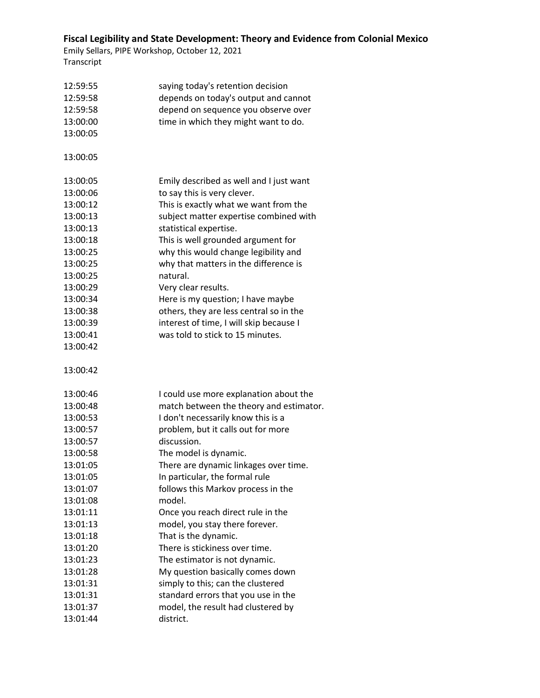| 12:59:55 | saying today's retention decision       |
|----------|-----------------------------------------|
| 12:59:58 | depends on today's output and cannot    |
| 12:59:58 | depend on sequence you observe over     |
| 13:00:00 | time in which they might want to do.    |
| 13:00:05 |                                         |
|          |                                         |
| 13:00:05 |                                         |
| 13:00:05 | Emily described as well and I just want |
| 13:00:06 | to say this is very clever.             |
| 13:00:12 | This is exactly what we want from the   |
| 13:00:13 | subject matter expertise combined with  |
| 13:00:13 | statistical expertise.                  |
| 13:00:18 | This is well grounded argument for      |
| 13:00:25 | why this would change legibility and    |
| 13:00:25 | why that matters in the difference is   |
| 13:00:25 | natural.                                |
| 13:00:29 | Very clear results.                     |
| 13:00:34 | Here is my question; I have maybe       |
| 13:00:38 | others, they are less central so in the |
| 13:00:39 | interest of time, I will skip because I |
| 13:00:41 | was told to stick to 15 minutes.        |
| 13:00:42 |                                         |
| 13:00:42 |                                         |
| 13:00:46 | I could use more explanation about the  |
| 13:00:48 | match between the theory and estimator. |
| 13:00:53 | I don't necessarily know this is a      |
| 13:00:57 | problem, but it calls out for more      |
| 13:00:57 | discussion.                             |
| 13:00:58 | The model is dynamic.                   |
| 13:01:05 | There are dynamic linkages over time.   |
| 13:01:05 | In particular, the formal rule          |
| 13:01:07 | follows this Markov process in the      |
| 13:01:08 | model.                                  |
| 13:01:11 | Once you reach direct rule in the       |
| 13:01:13 | model, you stay there forever.          |
| 13:01:18 | That is the dynamic.                    |
| 13:01:20 | There is stickiness over time.          |
| 13:01:23 | The estimator is not dynamic.           |
| 13:01:28 | My question basically comes down        |
| 13:01:31 | simply to this; can the clustered       |
| 13:01:31 | standard errors that you use in the     |
| 13:01:37 | model, the result had clustered by      |
| 13:01:44 | district.                               |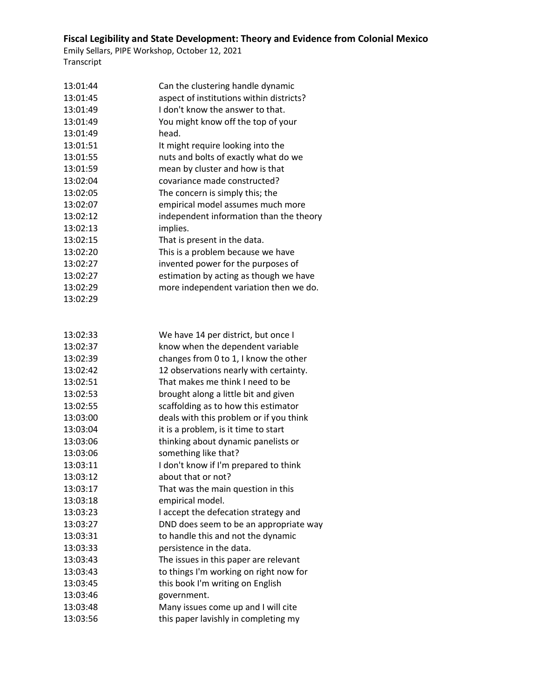| 13:01:44 | Can the clustering handle dynamic        |
|----------|------------------------------------------|
| 13:01:45 | aspect of institutions within districts? |
| 13:01:49 | I don't know the answer to that.         |
| 13:01:49 | You might know off the top of your       |
| 13:01:49 | head.                                    |
| 13:01:51 | It might require looking into the        |
| 13:01:55 | nuts and bolts of exactly what do we     |
| 13:01:59 | mean by cluster and how is that          |
| 13:02:04 | covariance made constructed?             |
| 13:02:05 | The concern is simply this; the          |
| 13:02:07 | empirical model assumes much more        |
| 13:02:12 | independent information than the theory  |
| 13:02:13 | implies.                                 |
| 13:02:15 | That is present in the data.             |
| 13:02:20 | This is a problem because we have        |
| 13:02:27 | invented power for the purposes of       |
| 13:02:27 | estimation by acting as though we have   |
| 13:02:29 | more independent variation then we do.   |
| 13:02:29 |                                          |
|          |                                          |
|          |                                          |
| 13:02:33 | We have 14 per district, but once I      |
| 13:02:37 | know when the dependent variable         |
| 13:02:39 | changes from 0 to 1, I know the other    |
| 13:02:42 | 12 observations nearly with certainty.   |
| 13:02:51 | That makes me think I need to be         |
| 13:02:53 | brought along a little bit and given     |
| 13:02:55 | scaffolding as to how this estimator     |
| 13:03:00 | deals with this problem or if you think  |
| 13:03:04 | it is a problem, is it time to start     |
| 13:03:06 | thinking about dynamic panelists or      |
| 13:03:06 | something like that?                     |
| 13:03:11 | I don't know if I'm prepared to think    |
| 13:03:12 | about that or not?                       |
| 13:03:17 | That was the main question in this       |
| 13:03:18 | empirical model.                         |
| 13:03:23 | I accept the defecation strategy and     |
| 13:03:27 | DND does seem to be an appropriate way   |
| 13:03:31 | to handle this and not the dynamic       |
| 13:03:33 | persistence in the data.                 |
| 13:03:43 | The issues in this paper are relevant    |
| 13:03:43 | to things I'm working on right now for   |
| 13:03:45 | this book I'm writing on English         |
| 13:03:46 | government.                              |
| 13:03:48 | Many issues come up and I will cite      |
| 13:03:56 | this paper lavishly in completing my     |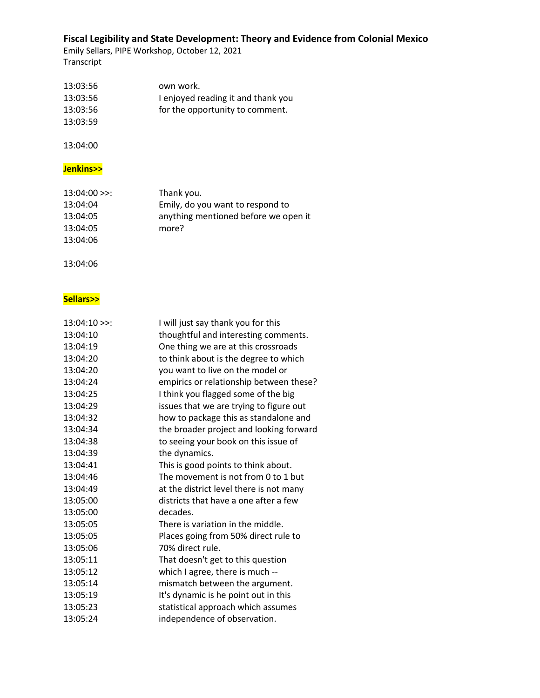Emily Sellars, PIPE Workshop, October 12, 2021 Transcript

| 13:03:56 | own work.                          |
|----------|------------------------------------|
| 13:03:56 | I enjoyed reading it and thank you |
| 13:03:56 | for the opportunity to comment.    |
| 13:03:59 |                                    |

13:04:00

### **Jenkins>>**

| $13:04:00 \rightarrow$ : | Thank you.                           |
|--------------------------|--------------------------------------|
| 13:04:04                 | Emily, do you want to respond to     |
| 13:04:05                 | anything mentioned before we open it |
| 13:04:05                 | more?                                |
| 13:04:06                 |                                      |

13:04:06

### **Sellars>>**

| $13:04:10$ >>: | I will just say thank you for this      |
|----------------|-----------------------------------------|
| 13:04:10       | thoughtful and interesting comments.    |
| 13:04:19       | One thing we are at this crossroads     |
| 13:04:20       | to think about is the degree to which   |
| 13:04:20       | you want to live on the model or        |
| 13:04:24       | empirics or relationship between these? |
| 13:04:25       | I think you flagged some of the big     |
| 13:04:29       | issues that we are trying to figure out |
| 13:04:32       | how to package this as standalone and   |
| 13:04:34       | the broader project and looking forward |
| 13:04:38       | to seeing your book on this issue of    |
| 13:04:39       | the dynamics.                           |
| 13:04:41       | This is good points to think about.     |
| 13:04:46       | The movement is not from 0 to 1 but     |
| 13:04:49       | at the district level there is not many |
| 13:05:00       | districts that have a one after a few   |
| 13:05:00       | decades.                                |
| 13:05:05       | There is variation in the middle.       |
| 13:05:05       | Places going from 50% direct rule to    |
| 13:05:06       | 70% direct rule.                        |
| 13:05:11       | That doesn't get to this question       |
| 13:05:12       | which I agree, there is much --         |
| 13:05:14       | mismatch between the argument.          |
| 13:05:19       | It's dynamic is he point out in this    |
| 13:05:23       | statistical approach which assumes      |
| 13:05:24       | independence of observation.            |
|                |                                         |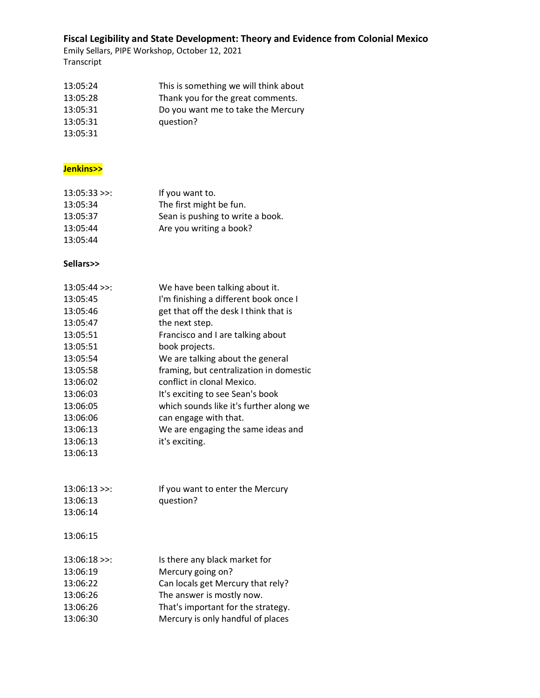Emily Sellars, PIPE Workshop, October 12, 2021 Transcript

| 13:05:24 | This is something we will think about |
|----------|---------------------------------------|
| 13:05:28 | Thank you for the great comments.     |
| 13:05:31 | Do you want me to take the Mercury    |
| 13:05:31 | question?                             |
| 13:05:31 |                                       |

#### **Jenkins>>**

| $13:05:33$ >>: | If you want to.                  |
|----------------|----------------------------------|
| 13:05:34       | The first might be fun.          |
| 13:05:37       | Sean is pushing to write a book. |
| 13:05:44       | Are you writing a book?          |
| 13:05:44       |                                  |

#### **Sellars>>**

| $13:05:44$ >>:    | We have been talking about it.          |
|-------------------|-----------------------------------------|
| 13:05:45          | I'm finishing a different book once I   |
| 13:05:46          | get that off the desk I think that is   |
| 13:05:47          | the next step.                          |
| 13:05:51          | Francisco and I are talking about       |
| 13:05:51          | book projects.                          |
| 13:05:54          | We are talking about the general        |
| 13:05:58          | framing, but centralization in domestic |
| 13:06:02          | conflict in clonal Mexico.              |
| 13:06:03          | It's exciting to see Sean's book        |
| 13:06:05          | which sounds like it's further along we |
| 13:06:06          | can engage with that.                   |
| 13:06:13          | We are engaging the same ideas and      |
| 13:06:13          | it's exciting.                          |
| 13:06:13          |                                         |
|                   |                                         |
| $13.06.13 \times$ | If you want to enter the Mercury        |

| 13:06:13>> | If you want to enter the Mercury |
|------------|----------------------------------|
| 13:06:13   | question?                        |
| 13:06:14   |                                  |

13:06:15

| $13:06:18$ >>: | Is there any black market for      |
|----------------|------------------------------------|
| 13:06:19       | Mercury going on?                  |
| 13:06:22       | Can locals get Mercury that rely?  |
| 13:06:26       | The answer is mostly now.          |
| 13:06:26       | That's important for the strategy. |
| 13:06:30       | Mercury is only handful of places  |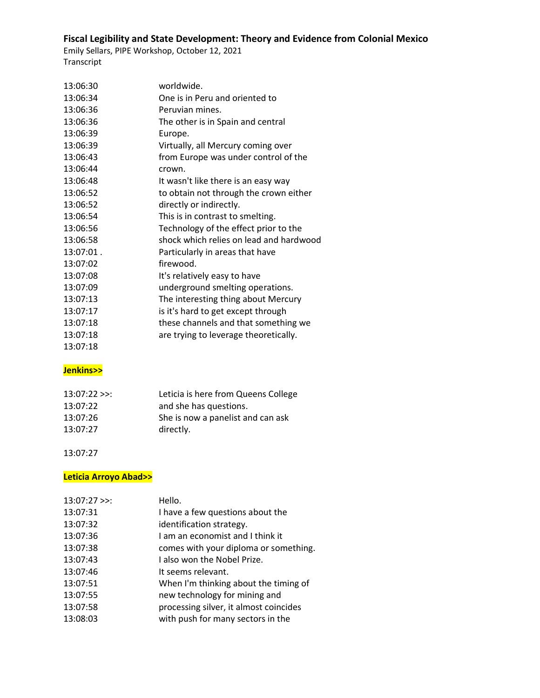Emily Sellars, PIPE Workshop, October 12, 2021 Transcript

| 13:06:30  | worldwide.                              |
|-----------|-----------------------------------------|
| 13:06:34  | One is in Peru and oriented to          |
| 13:06:36  | Peruvian mines.                         |
| 13:06:36  | The other is in Spain and central       |
| 13:06:39  | Europe.                                 |
| 13:06:39  | Virtually, all Mercury coming over      |
| 13:06:43  | from Europe was under control of the    |
| 13:06:44  | crown.                                  |
| 13:06:48  | It wasn't like there is an easy way     |
| 13:06:52  | to obtain not through the crown either  |
| 13:06:52  | directly or indirectly.                 |
| 13:06:54  | This is in contrast to smelting.        |
| 13:06:56  | Technology of the effect prior to the   |
| 13:06:58  | shock which relies on lead and hardwood |
| 13:07:01. | Particularly in areas that have         |
| 13:07:02  | firewood.                               |
| 13:07:08  | It's relatively easy to have            |
| 13:07:09  | underground smelting operations.        |
| 13:07:13  | The interesting thing about Mercury     |
| 13:07:17  | is it's hard to get except through      |
| 13:07:18  | these channels and that something we    |
| 13:07:18  | are trying to leverage theoretically.   |
| 13:07:18  |                                         |

### **Jenkins>>**

| $13:07:22 \ge$ : | Leticia is here from Queens College |
|------------------|-------------------------------------|
| 13:07:22         | and she has questions.              |
| 13:07:26         | She is now a panelist and can ask   |
| 13:07:27         | directly.                           |

13:07:27

### **Leticia Arroyo Abad>>**

| $13:07:27$ >>: | Hello.                                 |
|----------------|----------------------------------------|
| 13:07:31       | I have a few questions about the       |
| 13:07:32       | identification strategy.               |
| 13:07:36       | I am an economist and I think it       |
| 13:07:38       | comes with your diploma or something.  |
| 13:07:43       | I also won the Nobel Prize.            |
| 13:07:46       | It seems relevant.                     |
| 13:07:51       | When I'm thinking about the timing of  |
| 13:07:55       | new technology for mining and          |
| 13:07:58       | processing silver, it almost coincides |
| 13:08:03       | with push for many sectors in the      |
|                |                                        |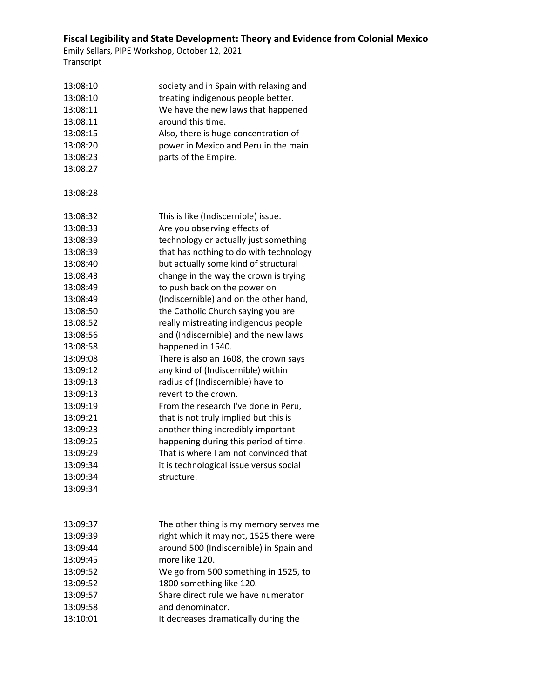| 13:08:10<br>13:08:10<br>13:08:11<br>13:08:11<br>13:08:15<br>13:08:20<br>13:08:23<br>13:08:27 | society and in Spain with relaxing and<br>treating indigenous people better.<br>We have the new laws that happened<br>around this time.<br>Also, there is huge concentration of<br>power in Mexico and Peru in the main<br>parts of the Empire. |
|----------------------------------------------------------------------------------------------|-------------------------------------------------------------------------------------------------------------------------------------------------------------------------------------------------------------------------------------------------|
| 13:08:28                                                                                     |                                                                                                                                                                                                                                                 |
| 13:08:32                                                                                     | This is like (Indiscernible) issue.                                                                                                                                                                                                             |
| 13:08:33                                                                                     | Are you observing effects of                                                                                                                                                                                                                    |
| 13:08:39                                                                                     | technology or actually just something                                                                                                                                                                                                           |
| 13:08:39                                                                                     | that has nothing to do with technology                                                                                                                                                                                                          |
| 13:08:40                                                                                     | but actually some kind of structural                                                                                                                                                                                                            |
| 13:08:43                                                                                     | change in the way the crown is trying                                                                                                                                                                                                           |
| 13:08:49                                                                                     | to push back on the power on                                                                                                                                                                                                                    |
| 13:08:49                                                                                     | (Indiscernible) and on the other hand,                                                                                                                                                                                                          |
| 13:08:50                                                                                     | the Catholic Church saying you are                                                                                                                                                                                                              |
| 13:08:52                                                                                     | really mistreating indigenous people                                                                                                                                                                                                            |
| 13:08:56                                                                                     | and (Indiscernible) and the new laws                                                                                                                                                                                                            |
| 13:08:58                                                                                     | happened in 1540.                                                                                                                                                                                                                               |
| 13:09:08                                                                                     | There is also an 1608, the crown says                                                                                                                                                                                                           |
| 13:09:12                                                                                     | any kind of (Indiscernible) within                                                                                                                                                                                                              |
| 13:09:13                                                                                     | radius of (Indiscernible) have to                                                                                                                                                                                                               |
| 13:09:13                                                                                     | revert to the crown.                                                                                                                                                                                                                            |
| 13:09:19                                                                                     | From the research I've done in Peru,                                                                                                                                                                                                            |
| 13:09:21                                                                                     | that is not truly implied but this is                                                                                                                                                                                                           |
| 13:09:23                                                                                     | another thing incredibly important                                                                                                                                                                                                              |
| 13:09:25                                                                                     | happening during this period of time.                                                                                                                                                                                                           |
| 13:09:29                                                                                     | That is where I am not convinced that                                                                                                                                                                                                           |
| 13:09:34                                                                                     | it is technological issue versus social                                                                                                                                                                                                         |
| 13:09:34                                                                                     | structure.                                                                                                                                                                                                                                      |
| 13:09:34                                                                                     |                                                                                                                                                                                                                                                 |
|                                                                                              |                                                                                                                                                                                                                                                 |
| 13:09:37                                                                                     | The other thing is my memory serves me                                                                                                                                                                                                          |
| 13:09:39                                                                                     | right which it may not, 1525 there were                                                                                                                                                                                                         |
| 13:09:44                                                                                     | around 500 (Indiscernible) in Spain and                                                                                                                                                                                                         |
| 13:09:45                                                                                     | more like 120.                                                                                                                                                                                                                                  |
| 13:09:52                                                                                     | We go from 500 something in 1525, to                                                                                                                                                                                                            |
| 13:09:52                                                                                     | 1800 something like 120.                                                                                                                                                                                                                        |
| 13:09:57                                                                                     | Share direct rule we have numerator                                                                                                                                                                                                             |
| 13:09:58                                                                                     | and denominator.                                                                                                                                                                                                                                |
| 13:10:01                                                                                     | It decreases dramatically during the                                                                                                                                                                                                            |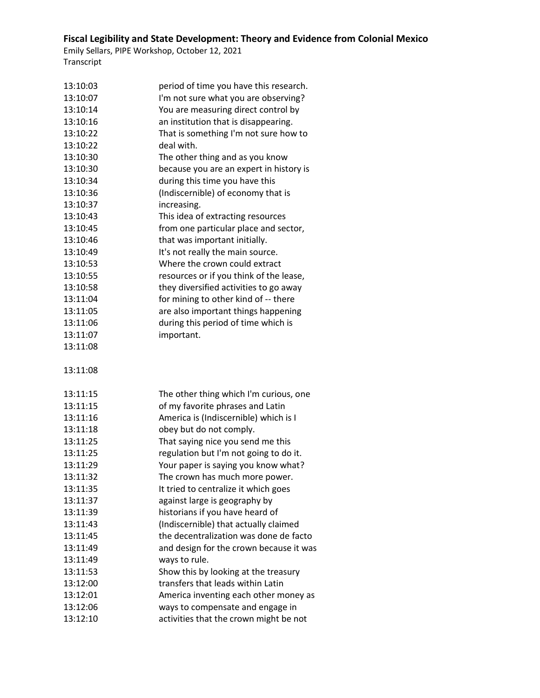| 13:10:03 | period of time you have this research.  |
|----------|-----------------------------------------|
| 13:10:07 | I'm not sure what you are observing?    |
| 13:10:14 | You are measuring direct control by     |
| 13:10:16 | an institution that is disappearing.    |
| 13:10:22 | That is something I'm not sure how to   |
| 13:10:22 | deal with.                              |
| 13:10:30 | The other thing and as you know         |
| 13:10:30 | because you are an expert in history is |
| 13:10:34 | during this time you have this          |
| 13:10:36 | (Indiscernible) of economy that is      |
| 13:10:37 | increasing.                             |
| 13:10:43 | This idea of extracting resources       |
| 13:10:45 | from one particular place and sector,   |
| 13:10:46 | that was important initially.           |
| 13:10:49 | It's not really the main source.        |
| 13:10:53 | Where the crown could extract           |
| 13:10:55 | resources or if you think of the lease, |
| 13:10:58 | they diversified activities to go away  |
| 13:11:04 | for mining to other kind of -- there    |
| 13:11:05 | are also important things happening     |
| 13:11:06 | during this period of time which is     |
| 13:11:07 | important.                              |
| 13:11:08 |                                         |
|          |                                         |
| 13:11:08 |                                         |
|          |                                         |
|          |                                         |
| 13:11:15 | The other thing which I'm curious, one  |
| 13:11:15 | of my favorite phrases and Latin        |
| 13:11:16 | America is (Indiscernible) which is I   |
| 13:11:18 | obey but do not comply.                 |
| 13:11:25 | That saying nice you send me this       |
| 13:11:25 | regulation but I'm not going to do it.  |
| 13:11:29 | Your paper is saying you know what?     |
| 13:11:32 | The crown has much more power.          |
| 13:11:35 | It tried to centralize it which goes    |
| 13:11:37 | against large is geography by           |
| 13:11:39 | historians if you have heard of         |
| 13:11:43 | (Indiscernible) that actually claimed   |
| 13:11:45 | the decentralization was done de facto  |
| 13:11:49 | and design for the crown because it was |
| 13:11:49 | ways to rule.                           |
| 13:11:53 | Show this by looking at the treasury    |
| 13:12:00 | transfers that leads within Latin       |
| 13:12:01 | America inventing each other money as   |
| 13:12:06 | ways to compensate and engage in        |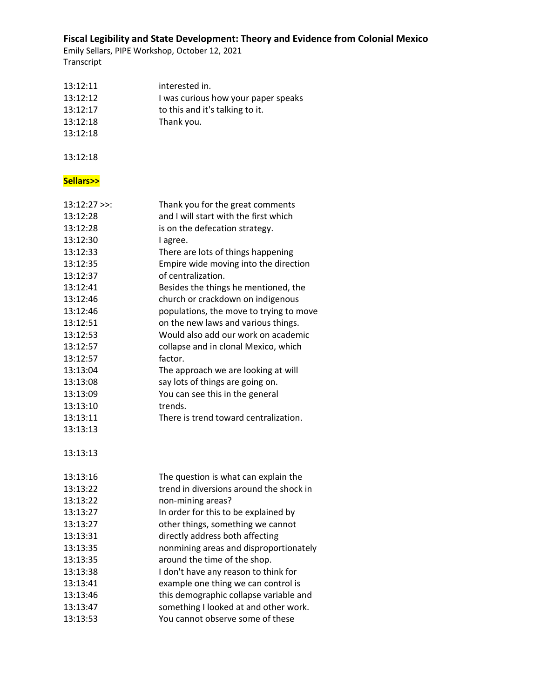Emily Sellars, PIPE Workshop, October 12, 2021 Transcript

| 13:12:11<br>13:12:12<br>13:12:17<br>13:12:18<br>13:12:18 | interested in.<br>I was curious how your paper speaks<br>to this and it's talking to it.<br>Thank you. |
|----------------------------------------------------------|--------------------------------------------------------------------------------------------------------|
| 13:12:18                                                 |                                                                                                        |
| Sellars>>                                                |                                                                                                        |
| $13:12:27$ >>:                                           | Thank you for the great comments                                                                       |
| 13:12:28                                                 | and I will start with the first which                                                                  |
| 13:12:28                                                 | is on the defecation strategy.                                                                         |
| 13:12:30                                                 | I agree.                                                                                               |
| 13:12:33                                                 | There are lots of things happening                                                                     |
| 13:12:35                                                 | Empire wide moving into the direction                                                                  |
| 13:12:37                                                 | of centralization.                                                                                     |
| 13:12:41                                                 | Besides the things he mentioned, the                                                                   |
| 13:12:46                                                 | church or crackdown on indigenous                                                                      |
| 13:12:46                                                 | populations, the move to trying to move                                                                |
| 13:12:51                                                 | on the new laws and various things.                                                                    |
| 13:12:53                                                 | Would also add our work on academic                                                                    |
| 13:12:57                                                 | collapse and in clonal Mexico, which                                                                   |
| 13:12:57                                                 | factor.                                                                                                |
| 13:13:04                                                 | The approach we are looking at will                                                                    |
| 13:13:08                                                 | say lots of things are going on.                                                                       |
| 13:13:09                                                 | You can see this in the general                                                                        |
| 13:13:10                                                 | trends.                                                                                                |
| 13:13:11                                                 | There is trend toward centralization.                                                                  |
| 13:13:13                                                 |                                                                                                        |
| 13:13:13                                                 |                                                                                                        |
| 13:13:16                                                 | The question is what can explain the                                                                   |
| 13:13:22                                                 | trend in diversions around the shock in                                                                |
| 13:13:22                                                 | non-mining areas?                                                                                      |
| 13:13:27                                                 | In order for this to be explained by                                                                   |
| 13:13:27                                                 | other things, something we cannot                                                                      |
| 13:13:31                                                 | directly address both affecting                                                                        |
| 13:13:35                                                 | nonmining areas and disproportionately                                                                 |
| 13:13:35                                                 | around the time of the shop.                                                                           |
| 13:13:38                                                 | I don't have any reason to think for                                                                   |
| 13:13:41                                                 | example one thing we can control is                                                                    |
| 13:13:46                                                 | this demographic collapse variable and                                                                 |
| 13:13:47                                                 | something I looked at and other work.                                                                  |

13:13:53 You cannot observe some of these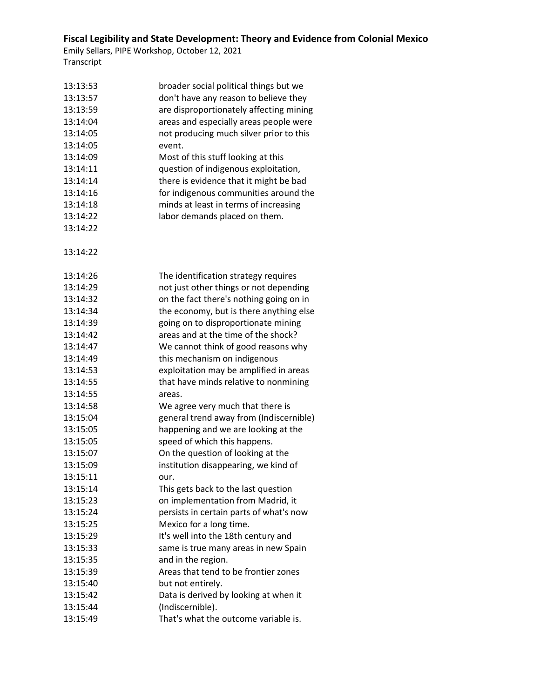| 13:13:53 | broader social political things but we  |
|----------|-----------------------------------------|
| 13:13:57 | don't have any reason to believe they   |
| 13:13:59 | are disproportionately affecting mining |
| 13:14:04 | areas and especially areas people were  |
| 13:14:05 | not producing much silver prior to this |
| 13:14:05 | event.                                  |
| 13:14:09 | Most of this stuff looking at this      |
| 13:14:11 | question of indigenous exploitation,    |
| 13:14:14 | there is evidence that it might be bad  |
| 13:14:16 | for indigenous communities around the   |
| 13:14:18 | minds at least in terms of increasing   |
| 13:14:22 | labor demands placed on them.           |
| 13:14:22 |                                         |
| 13:14:22 |                                         |
| 13:14:26 | The identification strategy requires    |
| 13:14:29 | not just other things or not depending  |
| 13:14:32 | on the fact there's nothing going on in |
| 13:14:34 | the economy, but is there anything else |
| 13:14:39 | going on to disproportionate mining     |
| 13:14:42 | areas and at the time of the shock?     |
| 13:14:47 | We cannot think of good reasons why     |
| 13:14:49 | this mechanism on indigenous            |
| 13:14:53 | exploitation may be amplified in areas  |
| 13:14:55 | that have minds relative to nonmining   |
| 13:14:55 | areas.                                  |
| 13:14:58 | We agree very much that there is        |
| 13:15:04 | general trend away from (Indiscernible) |
| 13:15:05 | happening and we are looking at the     |
| 13:15:05 | speed of which this happens.            |
| 13:15:07 | On the question of looking at the       |
| 13:15:09 | institution disappearing, we kind of    |
| 13:15:11 |                                         |
| 13:15:14 | This gets back to the last question     |
| 13:15:23 | on implementation from Madrid, it       |
| 13:15:24 | persists in certain parts of what's now |
| 13:15:25 | Mexico for a long time.                 |
| 13:15:29 | It's well into the 18th century and     |
| 13:15:33 | same is true many areas in new Spain    |
| 13:15:35 | and in the region.                      |
| 13:15:39 | Areas that tend to be frontier zones    |
| 13:15:40 | but not entirely.                       |
| 13:15:42 | Data is derived by looking at when it   |
| 13:15:44 | (Indiscernible).                        |
| 13:15:49 | That's what the outcome variable is.    |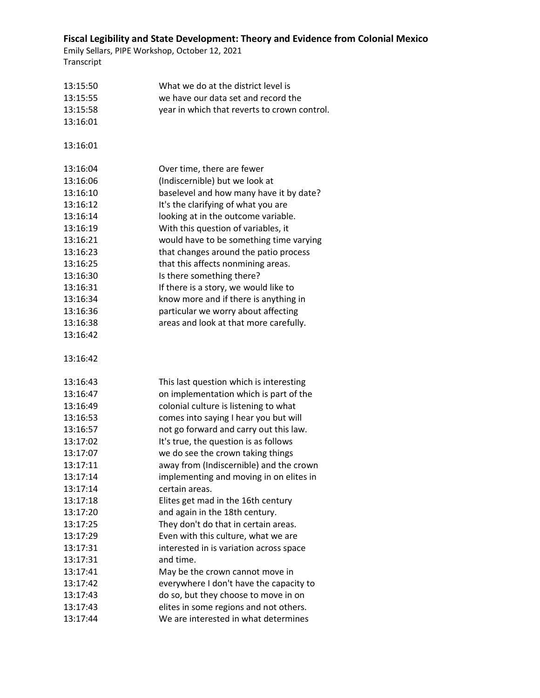| 13:15:50 | What we do at the district level is          |
|----------|----------------------------------------------|
| 13:15:55 | we have our data set and record the          |
| 13:15:58 | year in which that reverts to crown control. |
| 13:16:01 |                                              |
| 13:16:01 |                                              |
| 13:16:04 | Over time, there are fewer                   |
| 13:16:06 | (Indiscernible) but we look at               |
| 13:16:10 | baselevel and how many have it by date?      |
| 13:16:12 | It's the clarifying of what you are          |
| 13:16:14 | looking at in the outcome variable.          |
| 13:16:19 | With this question of variables, it          |
| 13:16:21 | would have to be something time varying      |
| 13:16:23 | that changes around the patio process        |
| 13:16:25 | that this affects nonmining areas.           |
| 13:16:30 | Is there something there?                    |
| 13:16:31 | If there is a story, we would like to        |
| 13:16:34 | know more and if there is anything in        |
| 13:16:36 | particular we worry about affecting          |
| 13:16:38 | areas and look at that more carefully.       |
| 13:16:42 |                                              |
|          |                                              |
| 13:16:42 |                                              |
| 13:16:43 | This last question which is interesting      |
| 13:16:47 | on implementation which is part of the       |
| 13:16:49 | colonial culture is listening to what        |
| 13:16:53 | comes into saying I hear you but will        |
| 13:16:57 | not go forward and carry out this law.       |
| 13:17:02 | It's true, the question is as follows        |
| 13:17:07 | we do see the crown taking things            |
| 13:17:11 | away from (Indiscernible) and the crown      |
| 13:17:14 | implementing and moving in on elites in      |
| 13:17:14 | certain areas.                               |
| 13:17:18 | Elites get mad in the 16th century           |
| 13:17:20 | and again in the 18th century.               |
| 13:17:25 | They don't do that in certain areas.         |
| 13:17:29 | Even with this culture, what we are          |
| 13:17:31 | interested in is variation across space      |
| 13:17:31 | and time.                                    |
| 13:17:41 | May be the crown cannot move in              |
| 13:17:42 | everywhere I don't have the capacity to      |
| 13:17:43 | do so, but they choose to move in on         |
| 13:17:43 | elites in some regions and not others.       |
| 13:17:44 | We are interested in what determines         |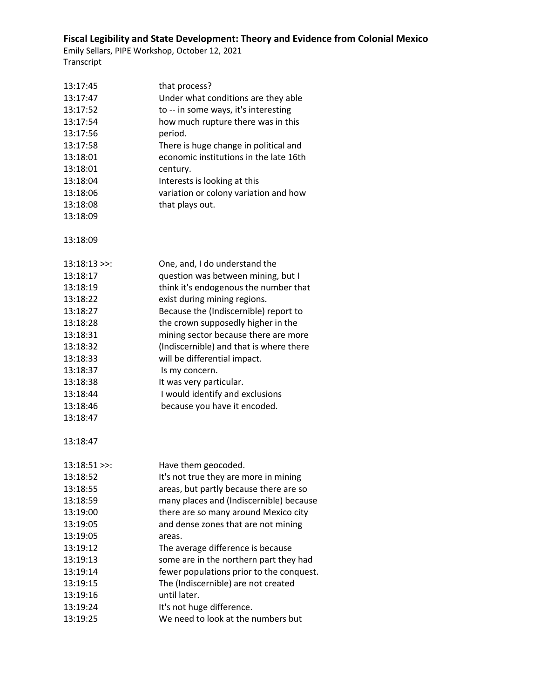| 13:17:45       | that process?                            |
|----------------|------------------------------------------|
| 13:17:47       | Under what conditions are they able      |
| 13:17:52       | to -- in some ways, it's interesting     |
| 13:17:54       | how much rupture there was in this       |
| 13:17:56       | period.                                  |
| 13:17:58       | There is huge change in political and    |
| 13:18:01       | economic institutions in the late 16th   |
| 13:18:01       | century.                                 |
| 13:18:04       | Interests is looking at this             |
| 13:18:06       | variation or colony variation and how    |
| 13:18:08       | that plays out.                          |
| 13:18:09       |                                          |
|                |                                          |
| 13:18:09       |                                          |
| $13:18:13$ >>: | One, and, I do understand the            |
| 13:18:17       | question was between mining, but I       |
| 13:18:19       | think it's endogenous the number that    |
| 13:18:22       | exist during mining regions.             |
| 13:18:27       | Because the (Indiscernible) report to    |
| 13:18:28       | the crown supposedly higher in the       |
| 13:18:31       | mining sector because there are more     |
| 13:18:32       | (Indiscernible) and that is where there  |
| 13:18:33       | will be differential impact.             |
| 13:18:37       | Is my concern.                           |
| 13:18:38       | It was very particular.                  |
| 13:18:44       | I would identify and exclusions          |
| 13:18:46       | because you have it encoded.             |
| 13:18:47       |                                          |
| 13:18:47       |                                          |
| $13:18:51$ >>: | Have them geocoded.                      |
| 13:18:52       | It's not true they are more in mining    |
| 13:18:55       | areas, but partly because there are so   |
| 13:18:59       | many places and (Indiscernible) because  |
| 13:19:00       | there are so many around Mexico city     |
| 13:19:05       | and dense zones that are not mining      |
| 13:19:05       | areas.                                   |
| 13:19:12       | The average difference is because        |
| 13:19:13       | some are in the northern part they had   |
| 13:19:14       | fewer populations prior to the conquest. |
| 13:19:15       | The (Indiscernible) are not created      |
| 13:19:16       | until later.                             |
| 13:19:24       | It's not huge difference.                |
| 13:19:25       | We need to look at the numbers but       |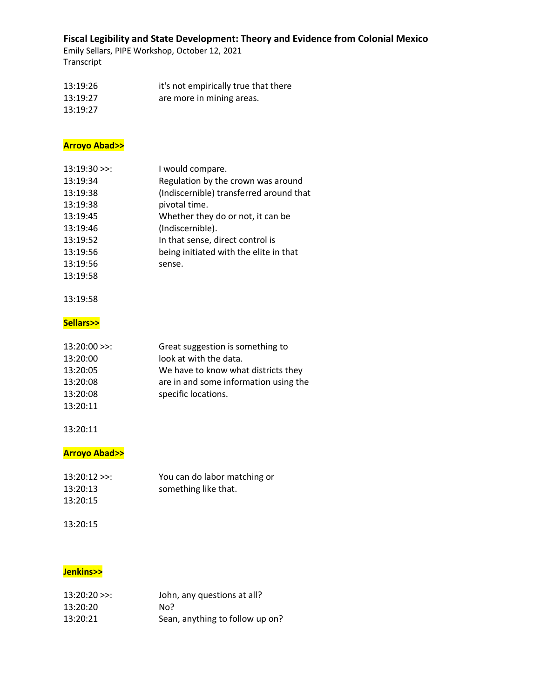Emily Sellars, PIPE Workshop, October 12, 2021 Transcript

13:19:26 it's not empirically true that there 13:19:27 are more in mining areas. 13:19:27

#### **Arroyo Abad>>**

| $13:19:30 \geq$ | I would compare.                        |
|-----------------|-----------------------------------------|
| 13:19:34        | Regulation by the crown was around      |
| 13:19:38        | (Indiscernible) transferred around that |
| 13:19:38        | pivotal time.                           |
| 13:19:45        | Whether they do or not, it can be       |
| 13:19:46        | (Indiscernible).                        |
| 13:19:52        | In that sense, direct control is        |
| 13:19:56        | being initiated with the elite in that  |
| 13:19:56        | sense.                                  |
| 13:19:58        |                                         |

#### 13:19:58

#### **Sellars>>**

| $13:20:00 \geq 1$ | Great suggestion is something to      |
|-------------------|---------------------------------------|
| 13:20:00          | look at with the data.                |
| 13:20:05          | We have to know what districts they   |
| 13:20:08          | are in and some information using the |
| 13:20:08          | specific locations.                   |
| 13:20:11          |                                       |

#### 13:20:11

### **Arroyo Abad>>**

| $13:20:12 \ge$ : | You can do labor matching or |
|------------------|------------------------------|
| 13:20:13         | something like that.         |
| 13:20:15         |                              |

#### 13:20:15

#### **Jenkins>>**

| $13:20:20 \ge$ : | John, any questions at all?     |
|------------------|---------------------------------|
| 13:20:20         | No?                             |
| 13:20:21         | Sean, anything to follow up on? |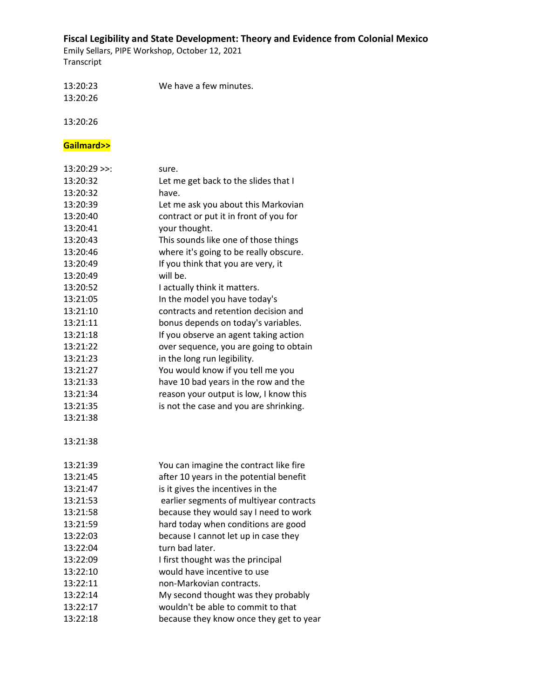Emily Sellars, PIPE Workshop, October 12, 2021 Transcript

13:20:23 We have a few minutes. 13:20:26

13:20:26

# **Gailmard>>**

| $13:20:29$ >>: | sure.                                   |
|----------------|-----------------------------------------|
| 13:20:32       | Let me get back to the slides that I    |
| 13:20:32       | have.                                   |
| 13:20:39       | Let me ask you about this Markovian     |
| 13:20:40       | contract or put it in front of you for  |
| 13:20:41       | your thought.                           |
| 13:20:43       | This sounds like one of those things    |
| 13:20:46       | where it's going to be really obscure.  |
| 13:20:49       | If you think that you are very, it      |
| 13:20:49       | will be.                                |
| 13:20:52       | I actually think it matters.            |
| 13:21:05       | In the model you have today's           |
| 13:21:10       | contracts and retention decision and    |
| 13:21:11       | bonus depends on today's variables.     |
| 13:21:18       | If you observe an agent taking action   |
| 13:21:22       | over sequence, you are going to obtain  |
| 13:21:23       | in the long run legibility.             |
| 13:21:27       | You would know if you tell me you       |
| 13:21:33       | have 10 bad years in the row and the    |
| 13:21:34       | reason your output is low, I know this  |
| 13:21:35       | is not the case and you are shrinking.  |
| 13:21:38       |                                         |
|                |                                         |
| 13:21:38       |                                         |
|                |                                         |
| 13:21:39       | You can imagine the contract like fire  |
| 13:21:45       | after 10 years in the potential benefit |
| 13:21:47       | is it gives the incentives in the       |
| 13:21:53       | earlier segments of multiyear contracts |
| 13:21:58       | because they would say I need to work   |
| 13:21:59       | hard today when conditions are good     |
| 13:22:03       | because I cannot let up in case they    |
| 13:22:04       | turn bad later.                         |
| 13:22:09       | I first thought was the principal       |
| 13:22:10       | would have incentive to use             |
| 13:22:11       | non-Markovian contracts.                |
| 13:22:14       | My second thought was they probably     |
| 13:22:17       | wouldn't be able to commit to that      |
| 13:22:18       | because they know once they get to year |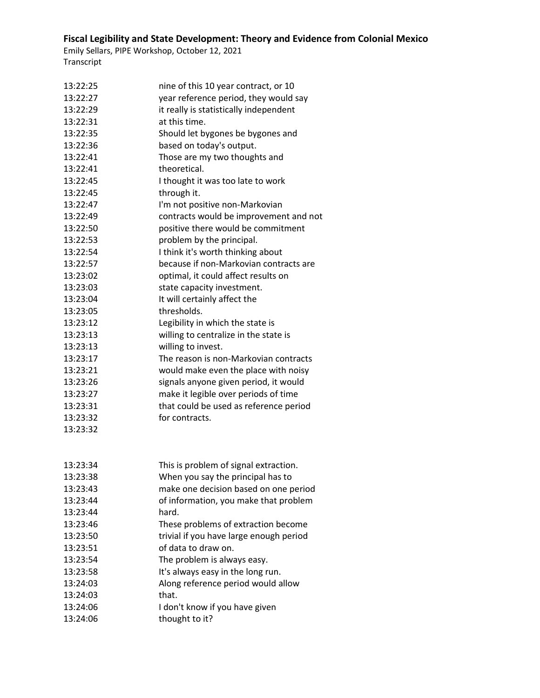| 13:22:25 | nine of this 10 year contract, or 10    |
|----------|-----------------------------------------|
| 13:22:27 | year reference period, they would say   |
| 13:22:29 | it really is statistically independent  |
| 13:22:31 | at this time.                           |
| 13:22:35 | Should let bygones be bygones and       |
| 13:22:36 | based on today's output.                |
| 13:22:41 | Those are my two thoughts and           |
| 13:22:41 | theoretical.                            |
| 13:22:45 | I thought it was too late to work       |
| 13:22:45 | through it.                             |
| 13:22:47 | I'm not positive non-Markovian          |
| 13:22:49 | contracts would be improvement and not  |
| 13:22:50 | positive there would be commitment      |
| 13:22:53 | problem by the principal.               |
| 13:22:54 | I think it's worth thinking about       |
| 13:22:57 | because if non-Markovian contracts are  |
| 13:23:02 | optimal, it could affect results on     |
| 13:23:03 | state capacity investment.              |
| 13:23:04 | It will certainly affect the            |
| 13:23:05 | thresholds.                             |
| 13:23:12 | Legibility in which the state is        |
| 13:23:13 | willing to centralize in the state is   |
| 13:23:13 | willing to invest.                      |
| 13:23:17 | The reason is non-Markovian contracts   |
| 13:23:21 | would make even the place with noisy    |
| 13:23:26 | signals anyone given period, it would   |
| 13:23:27 | make it legible over periods of time    |
| 13:23:31 | that could be used as reference period  |
| 13:23:32 | for contracts.                          |
| 13:23:32 |                                         |
|          |                                         |
|          |                                         |
| 13:23:34 | This is problem of signal extraction.   |
| 13:23:38 | When you say the principal has to       |
| 13:23:43 | make one decision based on one period   |
| 13:23:44 | of information, you make that problem   |
| 13:23:44 | hard.                                   |
| 13:23:46 | These problems of extraction become     |
| 13:23:50 | trivial if you have large enough period |
| 13:23:51 | of data to draw on.                     |
| 13:23:54 | The problem is always easy.             |
| 13:23:58 | It's always easy in the long run.       |
| 13:24:03 | Along reference period would allow      |
| 13:24:03 | that.                                   |
| 13:24:06 | I don't know if you have given          |
| 13:24:06 | thought to it?                          |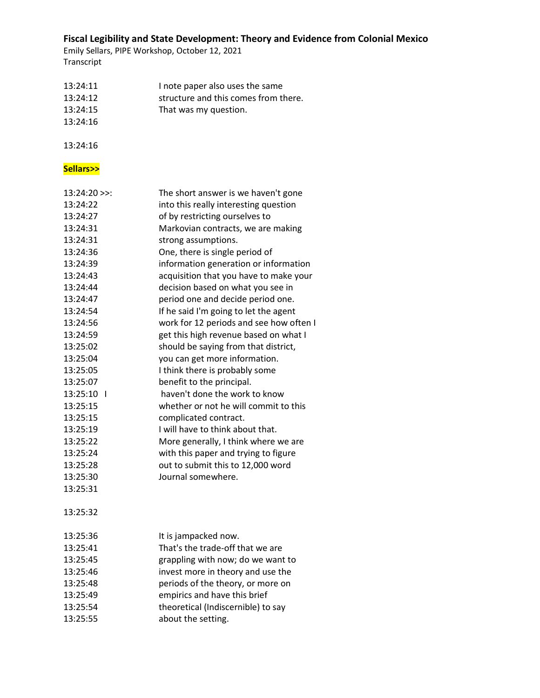Emily Sellars, PIPE Workshop, October 12, 2021 Transcript

| 13:24:11 | I note paper also uses the same      |
|----------|--------------------------------------|
| 13:24:12 | structure and this comes from there. |
| 13:24:15 | That was my question.                |
| 13:24:16 |                                      |

13:24:16

### **Sellars>>**

| $13:24:20$ >>:           | The short answer is we haven't gone     |
|--------------------------|-----------------------------------------|
| 13:24:22                 | into this really interesting question   |
| 13:24:27                 | of by restricting ourselves to          |
| 13:24:31                 | Markovian contracts, we are making      |
| 13:24:31                 | strong assumptions.                     |
| 13:24:36                 | One, there is single period of          |
| 13:24:39                 | information generation or information   |
| 13:24:43                 | acquisition that you have to make your  |
| 13:24:44                 | decision based on what you see in       |
| 13:24:47                 | period one and decide period one.       |
| 13:24:54                 | If he said I'm going to let the agent   |
| 13:24:56                 | work for 12 periods and see how often I |
| 13:24:59                 | get this high revenue based on what I   |
| 13:25:02                 | should be saying from that district,    |
| 13:25:04                 | you can get more information.           |
| 13:25:05                 | I think there is probably some          |
| 13:25:07                 | benefit to the principal.               |
| 13:25:10<br>$\mathbf{I}$ | haven't done the work to know           |
| 13:25:15                 | whether or not he will commit to this   |
| 13:25:15                 | complicated contract.                   |
| 13:25:19                 | I will have to think about that.        |
| 13:25:22                 | More generally, I think where we are    |
| 13:25:24                 | with this paper and trying to figure    |
| 13:25:28                 | out to submit this to 12,000 word       |
| 13:25:30                 | Journal somewhere.                      |
| 13:25:31                 |                                         |
|                          |                                         |
| 13:25:32                 |                                         |
|                          |                                         |
| 13:25:36                 | It is jampacked now.                    |
| 13:25:41                 | That's the trade-off that we are        |
| 13:25:45                 | grappling with now; do we want to       |
| 13:25:46                 | invest more in theory and use the       |
| 13:25:48                 | periods of the theory, or more on       |
| 13:25:49                 | empirics and have this brief            |
| 13:25:54                 | theoretical (Indiscernible) to say      |
| 13:25:55                 | about the setting.                      |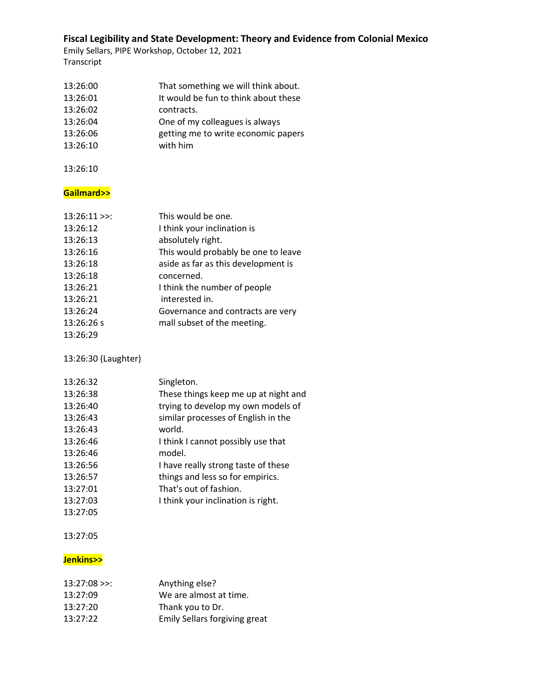Emily Sellars, PIPE Workshop, October 12, 2021 Transcript

| 13:26:00 | That something we will think about.  |
|----------|--------------------------------------|
| 13:26:01 | It would be fun to think about these |
| 13:26:02 | contracts.                           |
| 13:26:04 | One of my colleagues is always       |
| 13:26:06 | getting me to write economic papers  |
| 13:26:10 | with him                             |

13:26:10

### **Gailmard>>**

| This would be one.                  |
|-------------------------------------|
| I think your inclination is         |
| absolutely right.                   |
| This would probably be one to leave |
| aside as far as this development is |
| concerned.                          |
| I think the number of people        |
| interested in.                      |
| Governance and contracts are very   |
| mall subset of the meeting.         |
|                                     |
|                                     |

13:26:30 (Laughter)

| 13:26:32 | Singleton.                           |
|----------|--------------------------------------|
| 13:26:38 | These things keep me up at night and |
| 13:26:40 | trying to develop my own models of   |
| 13:26:43 | similar processes of English in the  |
| 13:26:43 | world.                               |
| 13:26:46 | I think I cannot possibly use that   |
| 13:26:46 | model.                               |
| 13:26:56 | I have really strong taste of these  |
| 13:26:57 | things and less so for empirics.     |
| 13:27:01 | That's out of fashion.               |
| 13:27:03 | I think your inclination is right.   |
| 13:27:05 |                                      |

#### 13:27:05

### **Jenkins>>**

| $13:27:08$ >>: | Anything else?                |
|----------------|-------------------------------|
| 13:27:09       | We are almost at time.        |
| 13:27:20       | Thank you to Dr.              |
| 13:27:22       | Emily Sellars forgiving great |